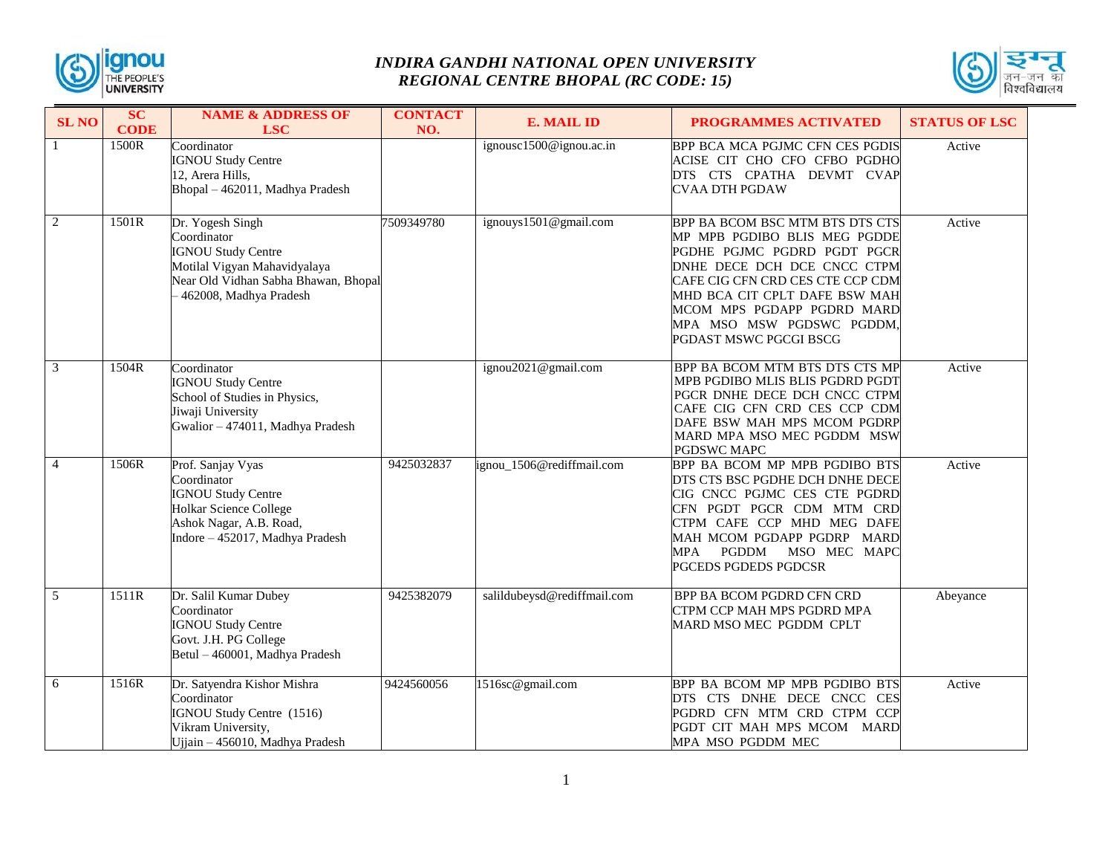



| <b>SL NO</b>   | <b>SC</b><br><b>CODE</b> | <b>NAME &amp; ADDRESS OF</b><br><b>LSC</b>                                                                                                                     | <b>CONTACT</b><br>NO. | <b>E. MAIL ID</b>           | PROGRAMMES ACTIVATED                                                                                                                                                                                                                                                                    | <b>STATUS OF LSC</b> |
|----------------|--------------------------|----------------------------------------------------------------------------------------------------------------------------------------------------------------|-----------------------|-----------------------------|-----------------------------------------------------------------------------------------------------------------------------------------------------------------------------------------------------------------------------------------------------------------------------------------|----------------------|
|                | 1500R                    | Coordinator<br><b>IGNOU Study Centre</b><br>12, Arera Hills,<br>Bhopal - 462011, Madhya Pradesh                                                                |                       | ignousc1500@ignou.ac.in     | BPP BCA MCA PGJMC CFN CES PGDIS<br>ACISE CIT CHO CFO CFBO PGDHO<br>DTS CTS CPATHA DEVMT CVAP<br>CVAA DTH PGDAW                                                                                                                                                                          | Active               |
| $\overline{2}$ | 1501R                    | Dr. Yogesh Singh<br>Coordinator<br><b>IGNOU Study Centre</b><br>Motilal Vigyan Mahavidyalaya<br>Near Old Vidhan Sabha Bhawan, Bhopal<br>462008, Madhya Pradesh | 7509349780            | ignouys1501@gmail.com       | BPP BA BCOM BSC MTM BTS DTS CTS<br>MP MPB PGDIBO BLIS MEG PGDDE<br>PGDHE PGJMC PGDRD PGDT PGCR<br>DNHE DECE DCH DCE CNCC CTPM<br>CAFE CIG CFN CRD CES CTE CCP CDM<br>MHD BCA CIT CPLT DAFE BSW MAH<br>MCOM MPS PGDAPP PGDRD MARD<br>MPA MSO MSW PGDSWC PGDDM,<br>PGDAST MSWC PGCGI BSCG | Active               |
| $\mathfrak{Z}$ | 1504R                    | Coordinator<br><b>IGNOU Study Centre</b><br>School of Studies in Physics,<br>Jiwaji University<br>Gwalior - 474011, Madhya Pradesh                             |                       | ignou2021@gmail.com         | BPP BA BCOM MTM BTS DTS CTS MP<br>MPB PGDIBO MLIS BLIS PGDRD PGDT<br>PGCR DNHE DECE DCH CNCC CTPM<br>CAFE CIG CFN CRD CES CCP CDM<br>DAFE BSW MAH MPS MCOM PGDRP<br>MARD MPA MSO MEC PGDDM MSW<br>PGDSWC MAPC                                                                           | Active               |
| $\overline{4}$ | 1506R                    | Prof. Sanjay Vyas<br>Coordinator<br><b>IGNOU Study Centre</b><br><b>Holkar Science College</b><br>Ashok Nagar, A.B. Road,<br>Indore - 452017, Madhya Pradesh   | 9425032837            | ignou_1506@rediffmail.com   | BPP BA BCOM MP MPB PGDIBO BTS<br>DTS CTS BSC PGDHE DCH DNHE DECE<br>CIG CNCC PGJMC CES CTE PGDRD<br>CFN PGDT PGCR CDM MTM CRD<br>CTPM CAFE CCP MHD MEG DAFE<br>MAH MCOM PGDAPP PGDRP MARD<br>PGDDM<br>MSO MEC MAPC<br>MPA<br>PGCEDS PGDEDS PGDCSR                                       | Active               |
| $\overline{5}$ | 1511R                    | Dr. Salil Kumar Dubey<br>Coordinator<br><b>IGNOU Study Centre</b><br>Govt. J.H. PG College<br>Betul - 460001, Madhya Pradesh                                   | 9425382079            | salildubeysd@rediffmail.com | <b>BPP BA BCOM PGDRD CFN CRD</b><br>CTPM CCP MAH MPS PGDRD MPA<br>MARD MSO MEC PGDDM CPLT                                                                                                                                                                                               | Abeyance             |
| 6              | 1516R                    | Dr. Satyendra Kishor Mishra<br>Coordinator<br>IGNOU Study Centre (1516)<br>Vikram University,<br>Ujjain - 456010, Madhya Pradesh                               | 9424560056            | 1516sc@gmail.com            | BPP BA BCOM MP MPB PGDIBO BTS<br>DTS CTS DNHE DECE CNCC CES<br>PGDRD CFN MTM CRD CTPM CCP<br>PGDT CIT MAH MPS MCOM MARD<br>MPA MSO PGDDM MEC                                                                                                                                            | Active               |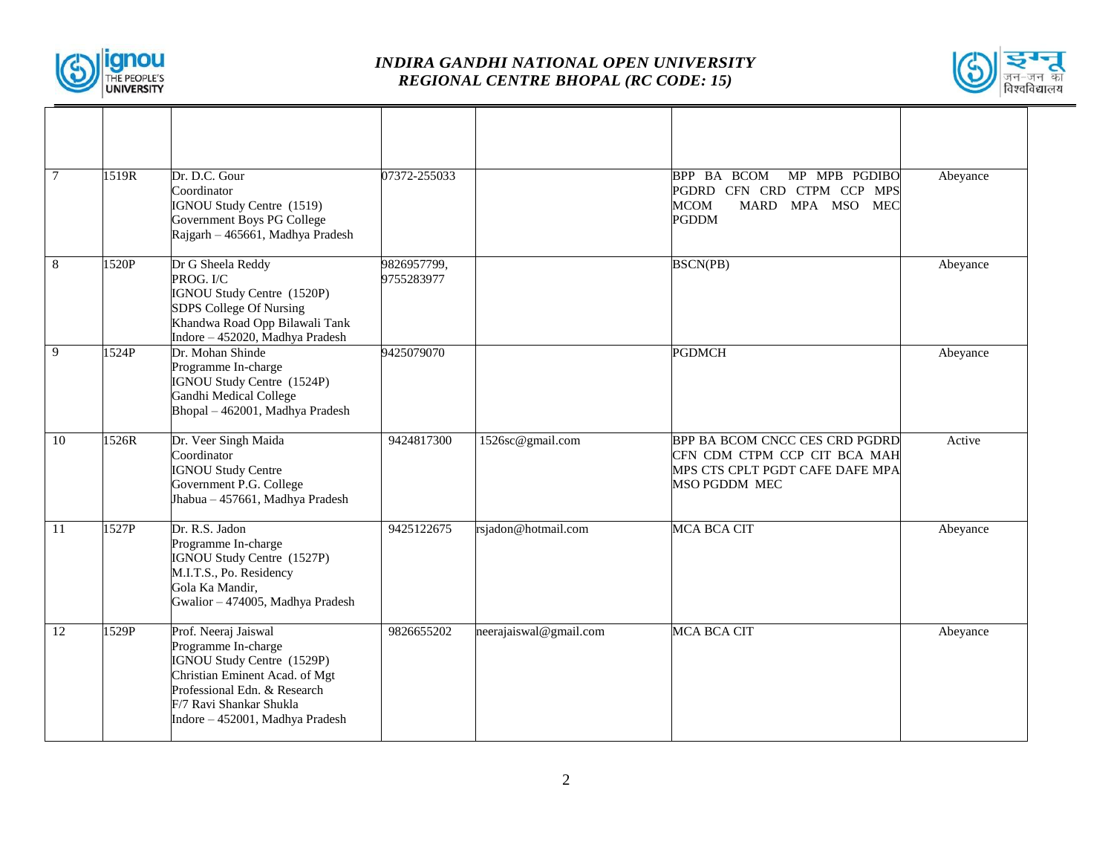



| $\overline{7}$ | 1519R | Dr. D.C. Gour<br>Coordinator<br>IGNOU Study Centre (1519)<br>Government Boys PG College<br>Rajgarh - 465661, Madhya Pradesh                                                                               | 07372-255033              |                        | BPP BA BCOM<br>MP MPB PGDIBO<br>PGDRD CFN CRD CTPM CCP MPS<br><b>MCOM</b><br>MARD MPA MSO<br><b>MEC</b><br><b>PGDDM</b> | Abeyance |
|----------------|-------|-----------------------------------------------------------------------------------------------------------------------------------------------------------------------------------------------------------|---------------------------|------------------------|-------------------------------------------------------------------------------------------------------------------------|----------|
| 8              | 1520P | Dr G Sheela Reddy<br>PROG. I/C<br>IGNOU Study Centre (1520P)<br>SDPS College Of Nursing<br>Khandwa Road Opp Bilawali Tank<br>Indore - 452020, Madhya Pradesh                                              | 9826957799,<br>9755283977 |                        | <b>BSCN(PB)</b>                                                                                                         | Abeyance |
| 9              | 1524P | Dr. Mohan Shinde<br>Programme In-charge<br>IGNOU Study Centre (1524P)<br>Gandhi Medical College<br>Bhopal - 462001, Madhya Pradesh                                                                        | 9425079070                |                        | <b>PGDMCH</b>                                                                                                           | Abeyance |
| 10             | 1526R | Dr. Veer Singh Maida<br>Coordinator<br><b>IGNOU Study Centre</b><br>Government P.G. College<br>Jhabua - 457661, Madhya Pradesh                                                                            | 9424817300                | 1526sc@gmail.com       | BPP BA BCOM CNCC CES CRD PGDRD<br>CFN CDM CTPM CCP CIT BCA MAH<br>MPS CTS CPLT PGDT CAFE DAFE MPA<br>MSO PGDDM MEC      | Active   |
| <sup>11</sup>  | 1527P | Dr. R.S. Jadon<br>Programme In-charge<br>IGNOU Study Centre (1527P)<br>M.I.T.S., Po. Residency<br>Gola Ka Mandir,<br>Gwalior - 474005, Madhya Pradesh                                                     | 9425122675                | rsjadon@hotmail.com    | <b>MCA BCA CIT</b>                                                                                                      | Abeyance |
| 12             | 1529P | Prof. Neeraj Jaiswal<br>Programme In-charge<br>IGNOU Study Centre (1529P)<br>Christian Eminent Acad. of Mgt<br>Professional Edn. & Research<br>F/7 Ravi Shankar Shukla<br>Indore - 452001, Madhya Pradesh | 9826655202                | neerajaiswal@gmail.com | <b>MCA BCA CIT</b>                                                                                                      | Abeyance |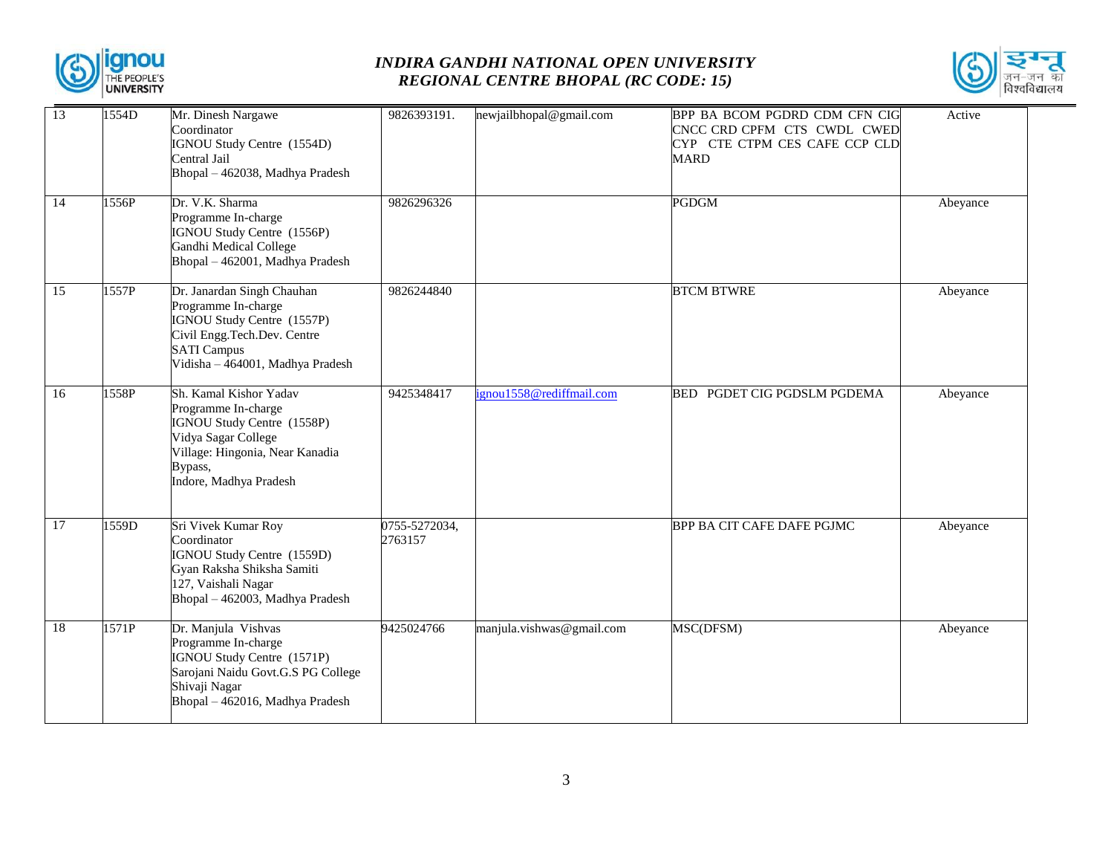



| 13 | 1554D | Mr. Dinesh Nargawe<br>Coordinator<br>IGNOU Study Centre (1554D)<br>Central Jail<br>Bhopal - 462038, Madhya Pradesh                                                         | 9826393191.              | newjailbhopal@gmail.com   | BPP BA BCOM PGDRD CDM CFN CIG<br>CNCC CRD CPFM CTS CWDL CWED<br>CYP CTE CTPM CES CAFE CCP CLD<br><b>MARD</b> | Active   |
|----|-------|----------------------------------------------------------------------------------------------------------------------------------------------------------------------------|--------------------------|---------------------------|--------------------------------------------------------------------------------------------------------------|----------|
| 14 | 1556P | Dr. V.K. Sharma<br>Programme In-charge<br>IGNOU Study Centre (1556P)<br>Gandhi Medical College<br>Bhopal - 462001, Madhya Pradesh                                          | 9826296326               |                           | <b>PGDGM</b>                                                                                                 | Abeyance |
| 15 | 1557P | Dr. Janardan Singh Chauhan<br>Programme In-charge<br>IGNOU Study Centre (1557P)<br>Civil Engg.Tech.Dev. Centre<br><b>SATI Campus</b><br>Vidisha - 464001, Madhya Pradesh   | 9826244840               |                           | <b>BTCM BTWRE</b>                                                                                            | Abeyance |
| 16 | 1558P | Sh. Kamal Kishor Yadav<br>Programme In-charge<br>IGNOU Study Centre (1558P)<br>Vidya Sagar College<br>Village: Hingonia, Near Kanadia<br>Bypass,<br>Indore, Madhya Pradesh | 9425348417               | ignou1558@rediffmail.com  | BED PGDET CIG PGDSLM PGDEMA                                                                                  | Abeyance |
| 17 | 1559D | Sri Vivek Kumar Roy<br>Coordinator<br>IGNOU Study Centre (1559D)<br>Gyan Raksha Shiksha Samiti<br>127, Vaishali Nagar<br>Bhopal - 462003, Madhya Pradesh                   | 0755-5272034,<br>2763157 |                           | BPP BA CIT CAFE DAFE PGJMC                                                                                   | Abeyance |
| 18 | 1571P | Dr. Manjula Vishvas<br>Programme In-charge<br>IGNOU Study Centre (1571P)<br>Sarojani Naidu Govt.G.S PG College<br>Shivaji Nagar<br>Bhopal - 462016, Madhya Pradesh         | 9425024766               | manjula.vishwas@gmail.com | MSC(DFSM)                                                                                                    | Abeyance |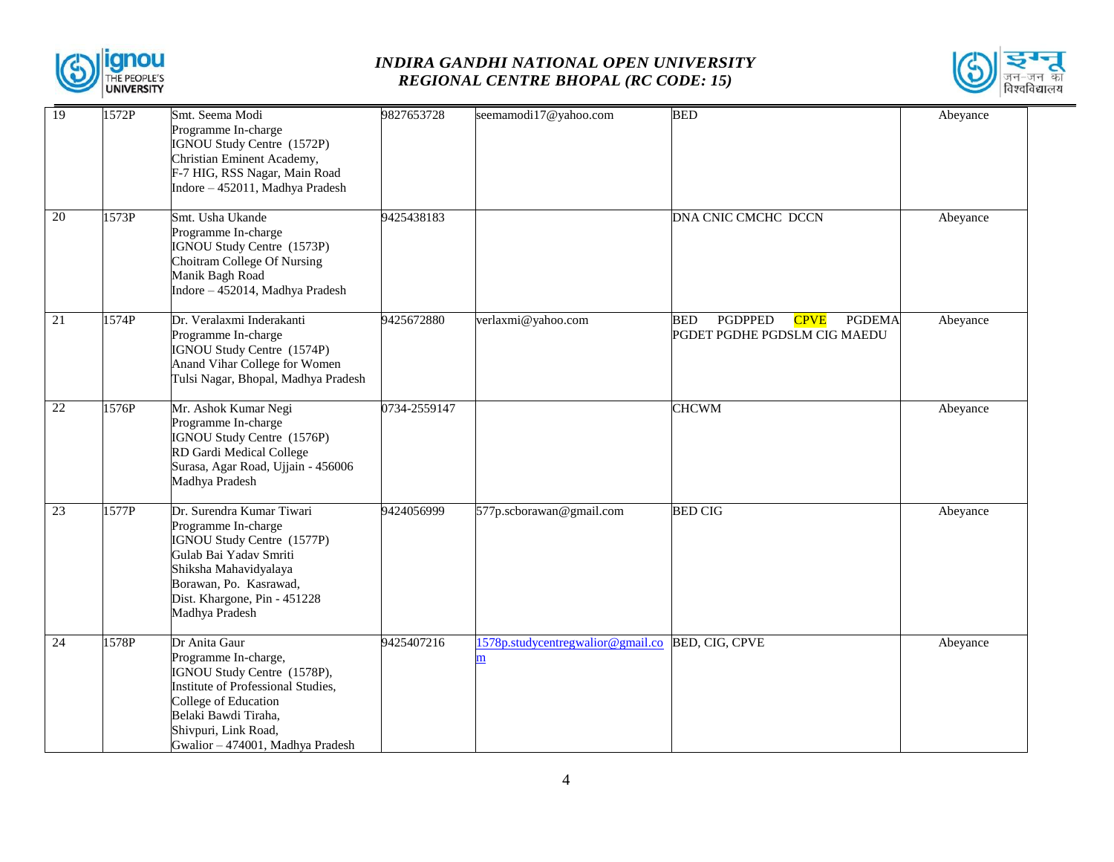



| 19              | 1572P | Smt. Seema Modi                                                                                                                                                                                                        | 9827653728   | seemamodi17@yahoo.com                          | <b>BED</b>                                                                                   | Abeyance |
|-----------------|-------|------------------------------------------------------------------------------------------------------------------------------------------------------------------------------------------------------------------------|--------------|------------------------------------------------|----------------------------------------------------------------------------------------------|----------|
|                 |       | Programme In-charge<br>IGNOU Study Centre (1572P)<br>Christian Eminent Academy,<br>F-7 HIG, RSS Nagar, Main Road<br>Indore - 452011, Madhya Pradesh                                                                    |              |                                                |                                                                                              |          |
| $\overline{20}$ | 1573P | Smt. Usha Ukande<br>Programme In-charge<br>IGNOU Study Centre (1573P)<br>Choitram College Of Nursing<br>Manik Bagh Road<br>Indore - 452014, Madhya Pradesh                                                             | 9425438183   |                                                | DNA CNIC CMCHC DCCN                                                                          | Abeyance |
| 21              | 1574P | Dr. Veralaxmi Inderakanti<br>Programme In-charge<br>IGNOU Study Centre (1574P)<br>Anand Vihar College for Women<br>Tulsi Nagar, Bhopal, Madhya Pradesh                                                                 | 9425672880   | verlaxmi@yahoo.com                             | <b>PGDPPED</b><br><b>BED</b><br><b>CPVE</b><br><b>PGDEMA</b><br>PGDET PGDHE PGDSLM CIG MAEDU | Abeyance |
| 22              | 1576P | Mr. Ashok Kumar Negi<br>Programme In-charge<br>IGNOU Study Centre (1576P)<br>RD Gardi Medical College<br>Surasa, Agar Road, Ujjain - 456006<br>Madhya Pradesh                                                          | 0734-2559147 |                                                | <b>CHCWM</b>                                                                                 | Abeyance |
| 23              | 1577P | Dr. Surendra Kumar Tiwari<br>Programme In-charge<br>IGNOU Study Centre (1577P)<br>Gulab Bai Yadav Smriti<br>Shiksha Mahavidyalaya<br>Borawan, Po. Kasrawad,<br>Dist. Khargone, Pin - 451228<br>Madhya Pradesh          | 9424056999   | 577p.scborawan@gmail.com                       | <b>BED CIG</b>                                                                               | Abeyance |
| 24              | 1578P | Dr Anita Gaur<br>Programme In-charge,<br>IGNOU Study Centre (1578P),<br>Institute of Professional Studies,<br>College of Education<br>Belaki Bawdi Tiraha,<br>Shivpuri, Link Road,<br>Gwalior - 474001, Madhya Pradesh | 9425407216   | 1578p.studycentregwalior@gmail.co<br>${\bf m}$ | <b>BED, CIG, CPVE</b>                                                                        | Abeyance |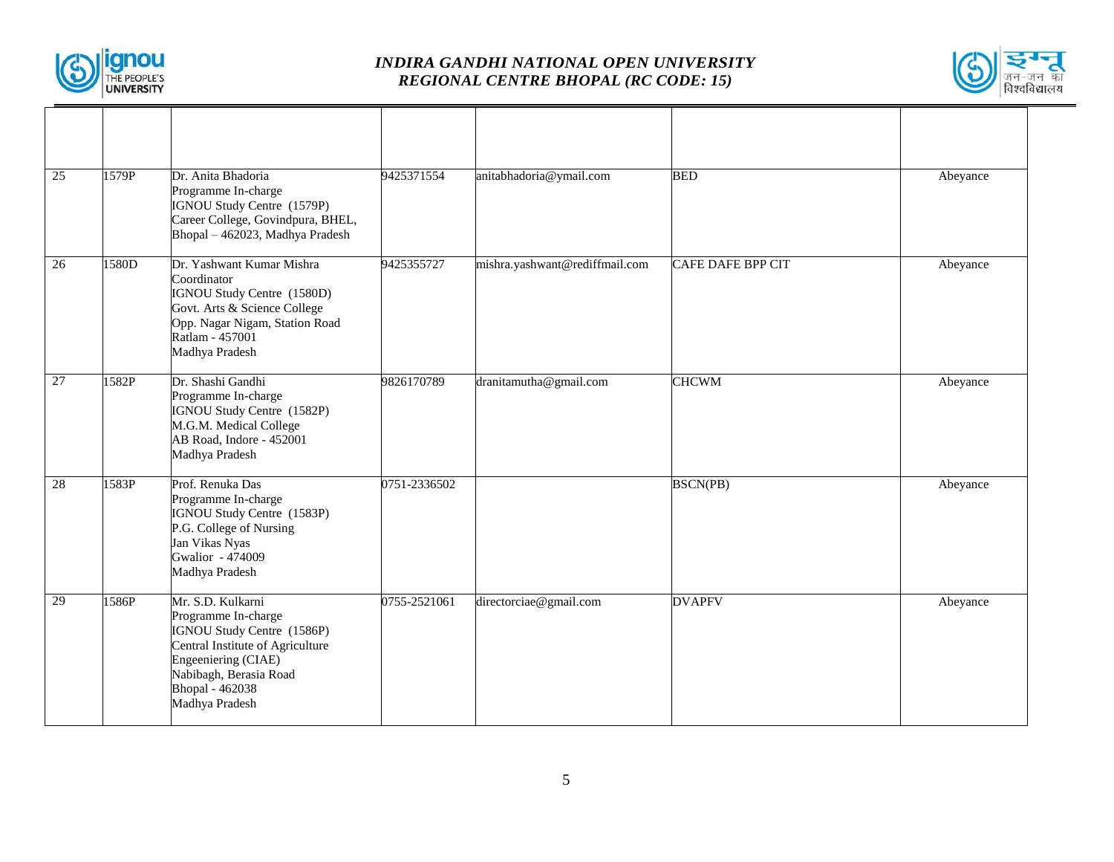



| 25              | 1579P | Dr. Anita Bhadoria<br>Programme In-charge<br>IGNOU Study Centre (1579P)<br>Career College, Govindpura, BHEL,<br>Bhopal - 462023, Madhya Pradesh                                                         | 9425371554   | anitabhadoria@ymail.com        | <b>BED</b>               | Abeyance |
|-----------------|-------|---------------------------------------------------------------------------------------------------------------------------------------------------------------------------------------------------------|--------------|--------------------------------|--------------------------|----------|
| 26              | 1580D | Dr. Yashwant Kumar Mishra<br>Coordinator<br>IGNOU Study Centre (1580D)<br>Govt. Arts & Science College<br>Opp. Nagar Nigam, Station Road<br>Ratlam - 457001<br>Madhya Pradesh                           | 9425355727   | mishra.yashwant@rediffmail.com | <b>CAFE DAFE BPP CIT</b> | Abeyance |
| $\overline{27}$ | 1582P | Dr. Shashi Gandhi<br>Programme In-charge<br>IGNOU Study Centre (1582P)<br>M.G.M. Medical College<br>AB Road, Indore - 452001<br>Madhya Pradesh                                                          | 9826170789   | dranitamutha@gmail.com         | <b>CHCWM</b>             | Abeyance |
| 28              | 1583P | Prof. Renuka Das<br>Programme In-charge<br>IGNOU Study Centre (1583P)<br>P.G. College of Nursing<br>Jan Vikas Nyas<br>Gwalior - 474009<br>Madhya Pradesh                                                | 0751-2336502 |                                | BSCN(PB)                 | Abeyance |
| 29              | 1586P | Mr. S.D. Kulkarni<br>Programme In-charge<br>IGNOU Study Centre (1586P)<br>Central Institute of Agriculture<br>Engeeniering (CIAE)<br>Nabibagh, Berasia Road<br><b>Bhopal</b> - 462038<br>Madhya Pradesh | 0755-2521061 | directorciae@gmail.com         | <b>DVAPFV</b>            | Abeyance |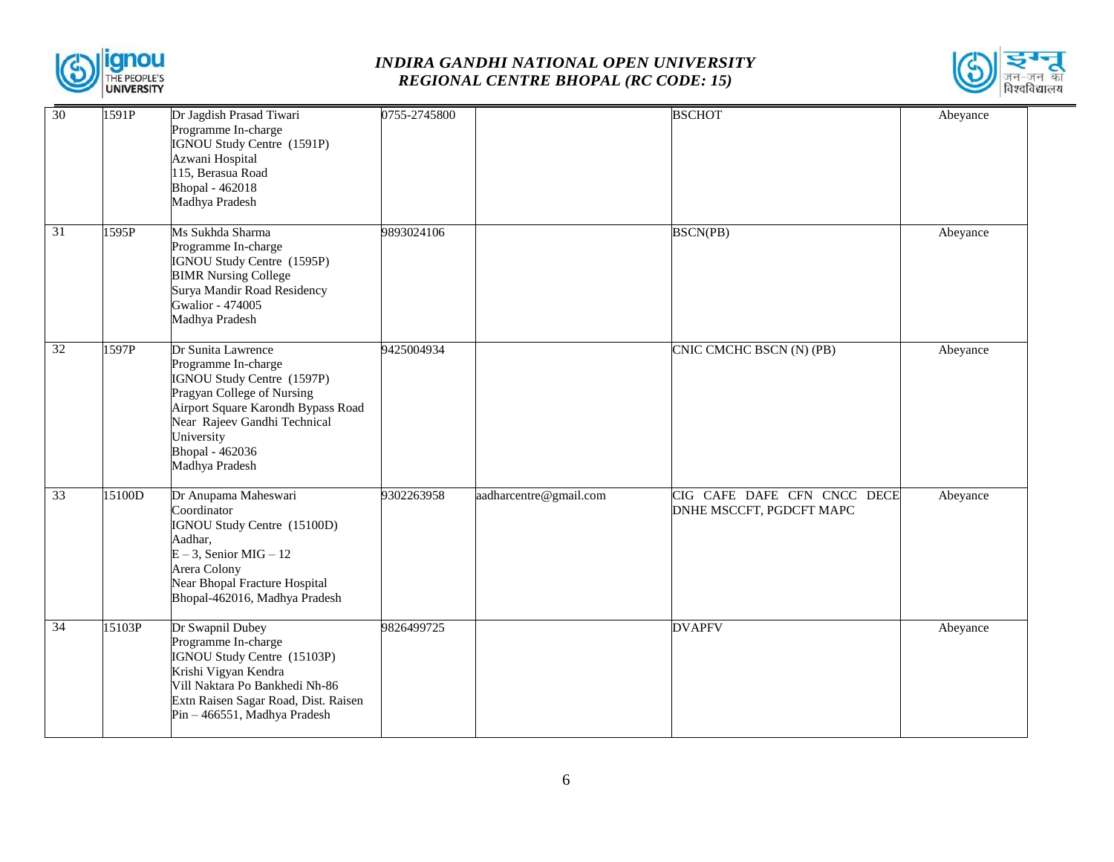



| 30              | 1591P  | Dr Jagdish Prasad Tiwari<br>Programme In-charge<br>IGNOU Study Centre (1591P)<br>Azwani Hospital<br>115, Berasua Road<br>Bhopal - 462018<br>Madhya Pradesh                                                                     | 0755-2745800 |                        | <b>BSCHOT</b>                                           | Abeyance |
|-----------------|--------|--------------------------------------------------------------------------------------------------------------------------------------------------------------------------------------------------------------------------------|--------------|------------------------|---------------------------------------------------------|----------|
| $\overline{31}$ | 1595P  | Ms Sukhda Sharma<br>Programme In-charge<br>IGNOU Study Centre (1595P)<br><b>BIMR Nursing College</b><br>Surya Mandir Road Residency<br>Gwalior - 474005<br>Madhya Pradesh                                                      | 9893024106   |                        | <b>BSCN(PB)</b>                                         | Abeyance |
| 32              | 1597P  | Dr Sunita Lawrence<br>Programme In-charge<br>IGNOU Study Centre (1597P)<br>Pragyan College of Nursing<br>Airport Square Karondh Bypass Road<br>Near Rajeev Gandhi Technical<br>University<br>Bhopal - 462036<br>Madhya Pradesh | 9425004934   |                        | CNIC CMCHC BSCN (N) (PB)                                | Abeyance |
| $\overline{33}$ | 15100D | Dr Anupama Maheswari<br>Coordinator<br>IGNOU Study Centre (15100D)<br>Aadhar,<br>$E - 3$ , Senior MIG - 12<br>Arera Colony<br>Near Bhopal Fracture Hospital<br>Bhopal-462016, Madhya Pradesh                                   | 9302263958   | aadharcentre@gmail.com | CIG CAFE DAFE CFN CNCC DECE<br>DNHE MSCCFT, PGDCFT MAPC | Abeyance |
| $\overline{34}$ | 15103P | Dr Swapnil Dubey<br>Programme In-charge<br>IGNOU Study Centre (15103P)<br>Krishi Vigyan Kendra<br>Vill Naktara Po Bankhedi Nh-86<br>Extn Raisen Sagar Road, Dist. Raisen<br>Pin - 466551, Madhya Pradesh                       | 9826499725   |                        | <b>DVAPFV</b>                                           | Abeyance |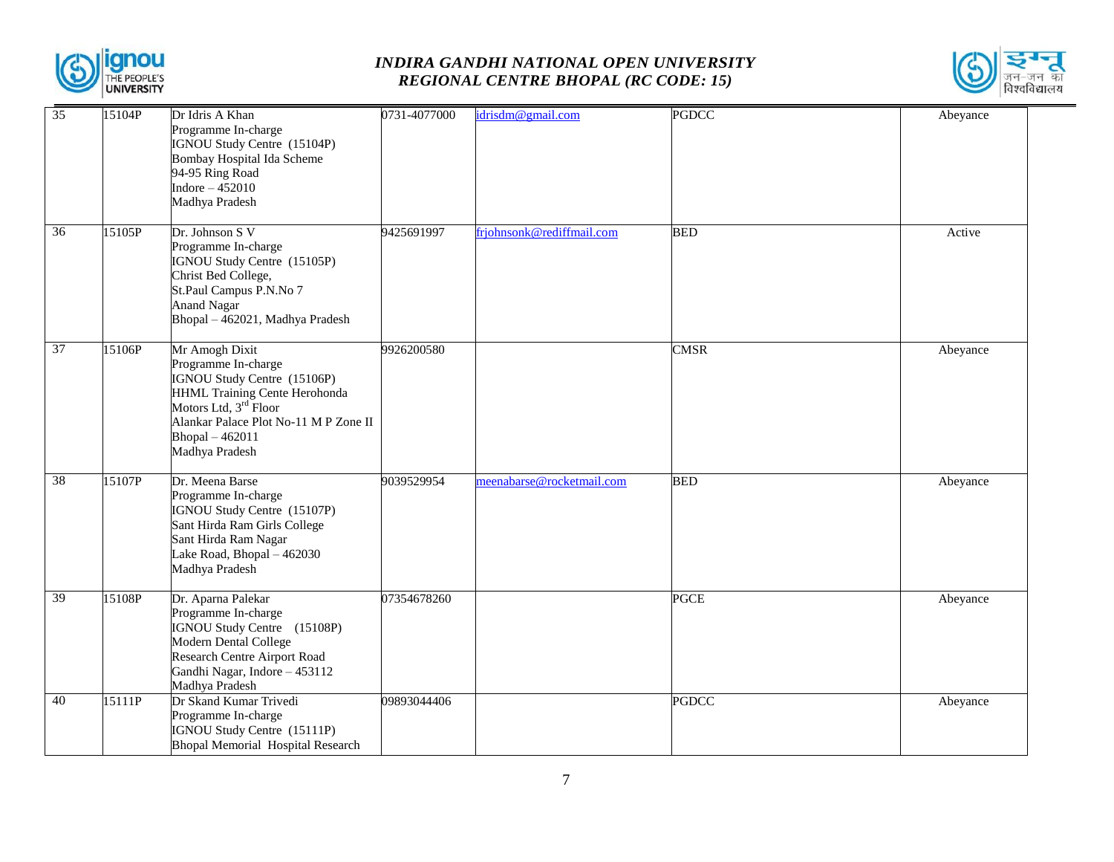



| 35              | 15104P | Dr Idris A Khan<br>Programme In-charge<br>IGNOU Study Centre (15104P)<br><b>Bombay Hospital Ida Scheme</b><br>94-95 Ring Road<br>Indore $-452010$<br>Madhya Pradesh                                                      | 0731-4077000 | idrisdm@gmail.com         | <b>PGDCC</b> | Abeyance |
|-----------------|--------|--------------------------------------------------------------------------------------------------------------------------------------------------------------------------------------------------------------------------|--------------|---------------------------|--------------|----------|
| 36              | 15105P | Dr. Johnson S V<br>Programme In-charge<br>IGNOU Study Centre (15105P)<br>Christ Bed College,<br>St.Paul Campus P.N.No 7<br><b>Anand Nagar</b><br>Bhopal - 462021, Madhya Pradesh                                         | 9425691997   | frjohnsonk@rediffmail.com | <b>BED</b>   | Active   |
| $\overline{37}$ | 15106P | Mr Amogh Dixit<br>Programme In-charge<br>IGNOU Study Centre (15106P)<br>HHML Training Cente Herohonda<br>Motors Ltd, 3 <sup>rd</sup> Floor<br>Alankar Palace Plot No-11 M P Zone II<br>Bhopal - 462011<br>Madhya Pradesh | 9926200580   |                           | <b>CMSR</b>  | Abeyance |
| $\overline{38}$ | 15107P | Dr. Meena Barse<br>Programme In-charge<br>IGNOU Study Centre (15107P)<br>Sant Hirda Ram Girls College<br>Sant Hirda Ram Nagar<br>Lake Road, Bhopal - 462030<br>Madhya Pradesh                                            | 9039529954   | meenabarse@rocketmail.com | <b>BED</b>   | Abeyance |
| 39              | 15108P | Dr. Aparna Palekar<br>Programme In-charge<br>IGNOU Study Centre (15108P)<br>Modern Dental College<br>Research Centre Airport Road<br>Gandhi Nagar, Indore - 453112<br>Madhya Pradesh                                     | 07354678260  |                           | <b>PGCE</b>  | Abeyance |
| 40              | 15111P | Dr Skand Kumar Trivedi<br>Programme In-charge<br>IGNOU Study Centre (15111P)<br><b>Bhopal Memorial Hospital Research</b>                                                                                                 | 09893044406  |                           | <b>PGDCC</b> | Abeyance |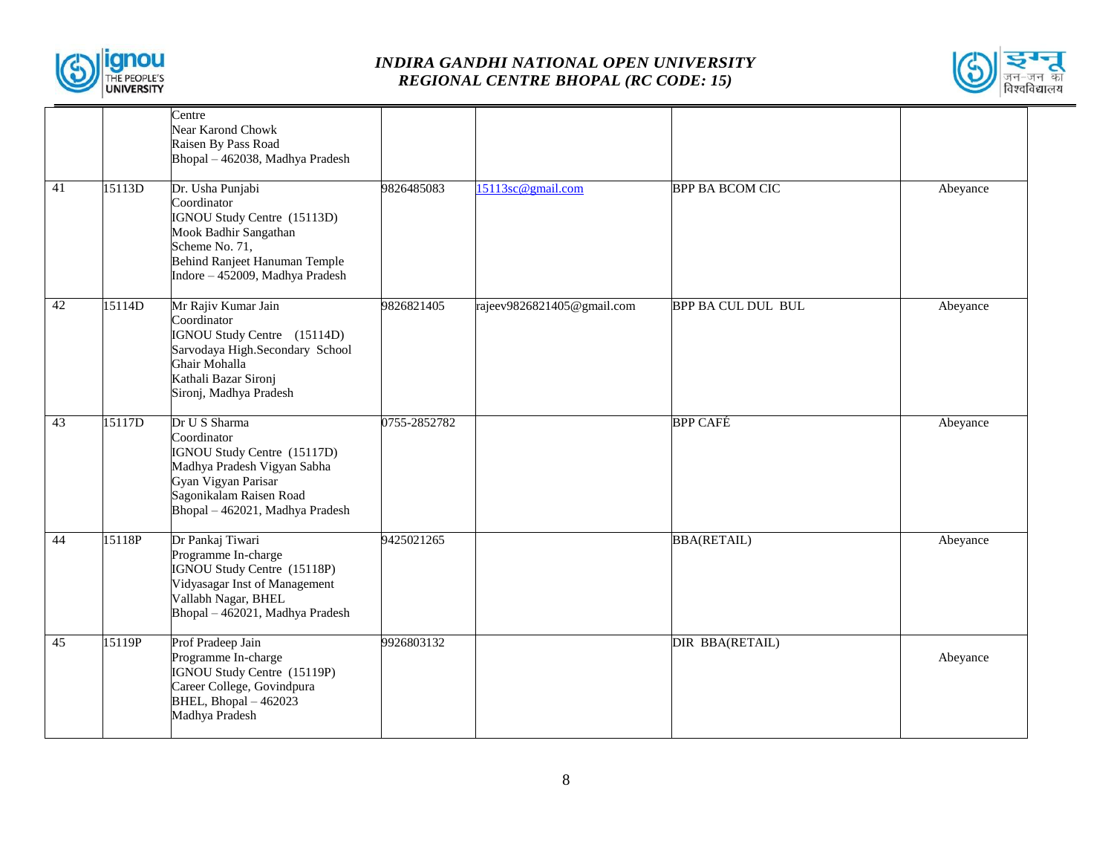



|    |        | Centre                                               |              |                            |                           |          |
|----|--------|------------------------------------------------------|--------------|----------------------------|---------------------------|----------|
|    |        | Near Karond Chowk                                    |              |                            |                           |          |
|    |        | Raisen By Pass Road                                  |              |                            |                           |          |
|    |        | Bhopal - 462038, Madhya Pradesh                      |              |                            |                           |          |
|    |        |                                                      |              |                            |                           |          |
| 41 | 15113D | Dr. Usha Punjabi                                     | 9826485083   | 15113sc@gmail.com          | <b>BPP BA BCOM CIC</b>    | Abeyance |
|    |        | Coordinator                                          |              |                            |                           |          |
|    |        | IGNOU Study Centre (15113D)                          |              |                            |                           |          |
|    |        | Mook Badhir Sangathan                                |              |                            |                           |          |
|    |        | Scheme No. 71,                                       |              |                            |                           |          |
|    |        | Behind Ranjeet Hanuman Temple                        |              |                            |                           |          |
|    |        | Indore - 452009, Madhya Pradesh                      |              |                            |                           |          |
| 42 | 15114D | Mr Rajiv Kumar Jain                                  | 9826821405   | rajeev9826821405@gmail.com | <b>BPP BA CUL DUL BUL</b> | Abeyance |
|    |        | Coordinator                                          |              |                            |                           |          |
|    |        | IGNOU Study Centre (15114D)                          |              |                            |                           |          |
|    |        | Sarvodaya High.Secondary School                      |              |                            |                           |          |
|    |        | Ghair Mohalla<br>Kathali Bazar Sironj                |              |                            |                           |          |
|    |        | Sironj, Madhya Pradesh                               |              |                            |                           |          |
|    |        |                                                      |              |                            |                           |          |
| 43 | 15117D | Dr U S Sharma                                        | 0755-2852782 |                            | <b>BPP CAFÉ</b>           | Abeyance |
|    |        | Coordinator                                          |              |                            |                           |          |
|    |        | IGNOU Study Centre (15117D)                          |              |                            |                           |          |
|    |        | Madhya Pradesh Vigyan Sabha                          |              |                            |                           |          |
|    |        | Gyan Vigyan Parisar<br>Sagonikalam Raisen Road       |              |                            |                           |          |
|    |        | Bhopal - 462021, Madhya Pradesh                      |              |                            |                           |          |
|    |        |                                                      |              |                            |                           |          |
| 44 | 15118P | Dr Pankaj Tiwari                                     | 9425021265   |                            | <b>BBA(RETAIL)</b>        | Abeyance |
|    |        | Programme In-charge                                  |              |                            |                           |          |
|    |        | IGNOU Study Centre (15118P)                          |              |                            |                           |          |
|    |        | Vidyasagar Inst of Management<br>Vallabh Nagar, BHEL |              |                            |                           |          |
|    |        | Bhopal - 462021, Madhya Pradesh                      |              |                            |                           |          |
|    |        |                                                      |              |                            |                           |          |
| 45 | 15119P | Prof Pradeep Jain                                    | 9926803132   |                            | DIR BBA(RETAIL)           |          |
|    |        | Programme In-charge                                  |              |                            |                           | Abeyance |
|    |        | IGNOU Study Centre (15119P)                          |              |                            |                           |          |
|    |        | Career College, Govindpura<br>BHEL, Bhopal - 462023  |              |                            |                           |          |
|    |        | Madhya Pradesh                                       |              |                            |                           |          |
|    |        |                                                      |              |                            |                           |          |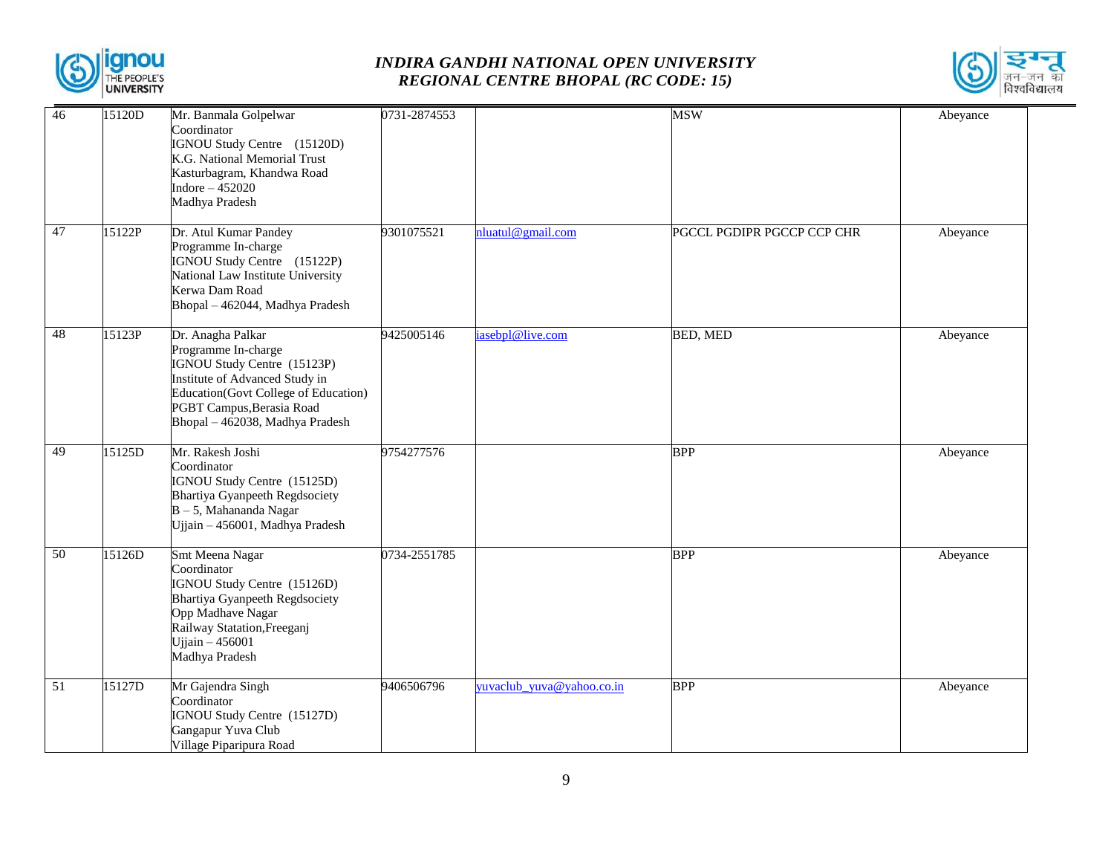



| 46 | 15120D | Mr. Banmala Golpelwar<br>Coordinator<br>IGNOU Study Centre (15120D)<br>K.G. National Memorial Trust<br>Kasturbagram, Khandwa Road<br>Indore $-452020$<br>Madhya Pradesh                                           | 0731-2874553 |                           | <b>MSW</b>                 | Abeyance |
|----|--------|-------------------------------------------------------------------------------------------------------------------------------------------------------------------------------------------------------------------|--------------|---------------------------|----------------------------|----------|
| 47 | 15122P | Dr. Atul Kumar Pandey<br>Programme In-charge<br>IGNOU Study Centre (15122P)<br>National Law Institute University<br>Kerwa Dam Road<br>Bhopal - 462044, Madhya Pradesh                                             | 9301075521   | nluatul@gmail.com         | PGCCL PGDIPR PGCCP CCP CHR | Abeyance |
| 48 | 15123P | Dr. Anagha Palkar<br>Programme In-charge<br>IGNOU Study Centre (15123P)<br>Institute of Advanced Study in<br>Education(Govt College of Education)<br>PGBT Campus, Berasia Road<br>Bhopal - 462038, Madhya Pradesh | 9425005146   | iasebpl@live.com          | <b>BED, MED</b>            | Abeyance |
| 49 | 15125D | Mr. Rakesh Joshi<br>Coordinator<br>IGNOU Study Centre (15125D)<br>Bhartiya Gyanpeeth Regdsociety<br>$B - 5$ , Mahananda Nagar<br>Ujjain - 456001, Madhya Pradesh                                                  | 9754277576   |                           | <b>BPP</b>                 | Abeyance |
| 50 | 15126D | Smt Meena Nagar<br>Coordinator<br>IGNOU Study Centre (15126D)<br><b>Bhartiya Gyanpeeth Regdsociety</b><br>Opp Madhave Nagar<br>Railway Statation, Freeganj<br>Ujjain $-456001$<br>Madhya Pradesh                  | 0734-2551785 |                           | <b>BPP</b>                 | Abeyance |
| 51 | 15127D | Mr Gajendra Singh<br>Coordinator<br>IGNOU Study Centre (15127D)<br>Gangapur Yuva Club<br>Village Piparipura Road                                                                                                  | 9406506796   | yuvaclub_yuva@yahoo.co.in | <b>BPP</b>                 | Abeyance |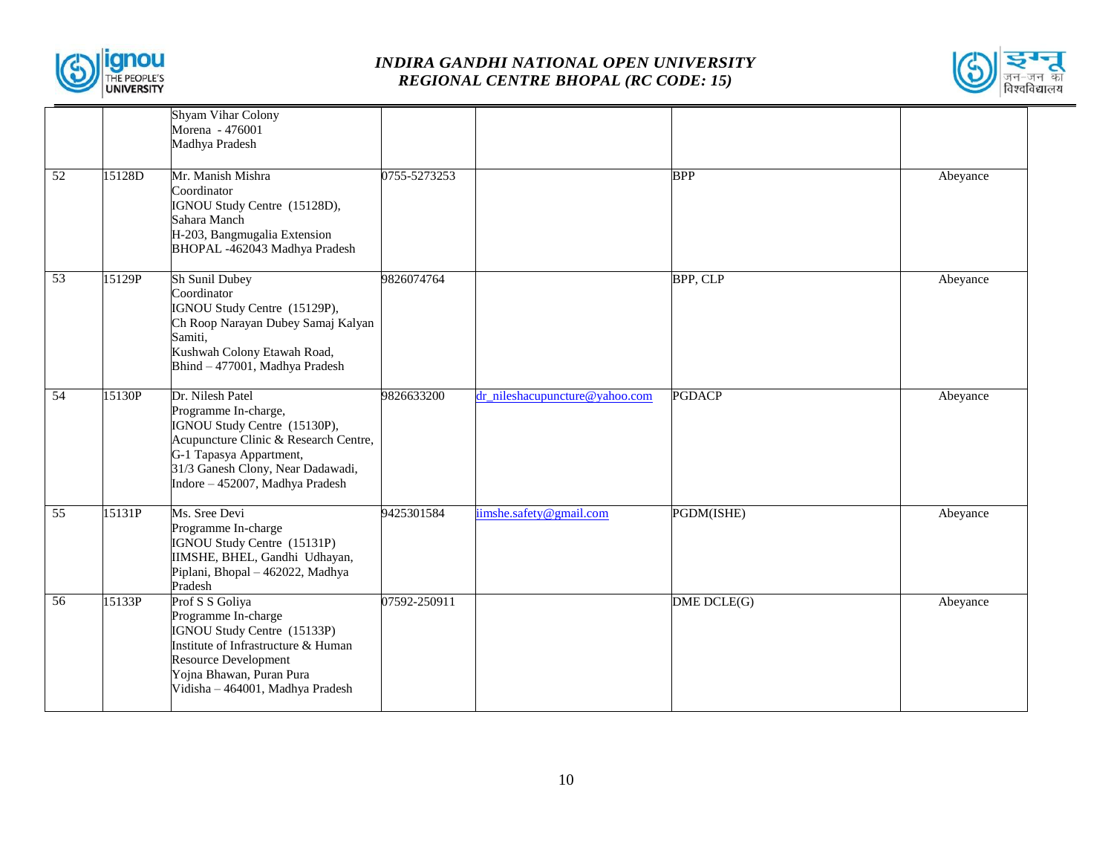



|                 |        | <b>Shyam Vihar Colony</b><br>Morena - 476001<br>Madhya Pradesh                                                                                                                                                       |              |                                |               |          |
|-----------------|--------|----------------------------------------------------------------------------------------------------------------------------------------------------------------------------------------------------------------------|--------------|--------------------------------|---------------|----------|
| 52              | 15128D | Mr. Manish Mishra<br>Coordinator<br>IGNOU Study Centre (15128D),<br>Sahara Manch<br>H-203, Bangmugalia Extension<br>BHOPAL -462043 Madhya Pradesh                                                                    | 0755-5273253 |                                | <b>BPP</b>    | Abeyance |
| $\overline{53}$ | 15129P | Sh Sunil Dubey<br>Coordinator<br>IGNOU Study Centre (15129P),<br>Ch Roop Narayan Dubey Samaj Kalyan<br>Samiti,<br>Kushwah Colony Etawah Road,<br>Bhind - 477001, Madhya Pradesh                                      | 9826074764   |                                | BPP, CLP      | Abeyance |
| 54              | 15130P | Dr. Nilesh Patel<br>Programme In-charge,<br>IGNOU Study Centre (15130P),<br>Acupuncture Clinic & Research Centre,<br>G-1 Tapasya Appartment,<br>31/3 Ganesh Clony, Near Dadawadi,<br>Indore - 452007, Madhya Pradesh | 9826633200   | dr nileshacupuncture@yahoo.com | <b>PGDACP</b> | Abeyance |
| 55              | 15131P | Ms. Sree Devi<br>Programme In-charge<br>IGNOU Study Centre (15131P)<br>IIMSHE, BHEL, Gandhi Udhayan,<br>Piplani, Bhopal - 462022, Madhya<br>Pradesh                                                                  | 9425301584   | iimshe.safety@gmail.com        | PGDM(ISHE)    | Abeyance |
| 56              | 15133P | Prof S S Goliya<br>Programme In-charge<br>IGNOU Study Centre (15133P)<br>Institute of Infrastructure & Human<br><b>Resource Development</b><br>Yojna Bhawan, Puran Pura<br>Vidisha - 464001, Madhya Pradesh          | 07592-250911 |                                | DME DCLE(G)   | Abeyance |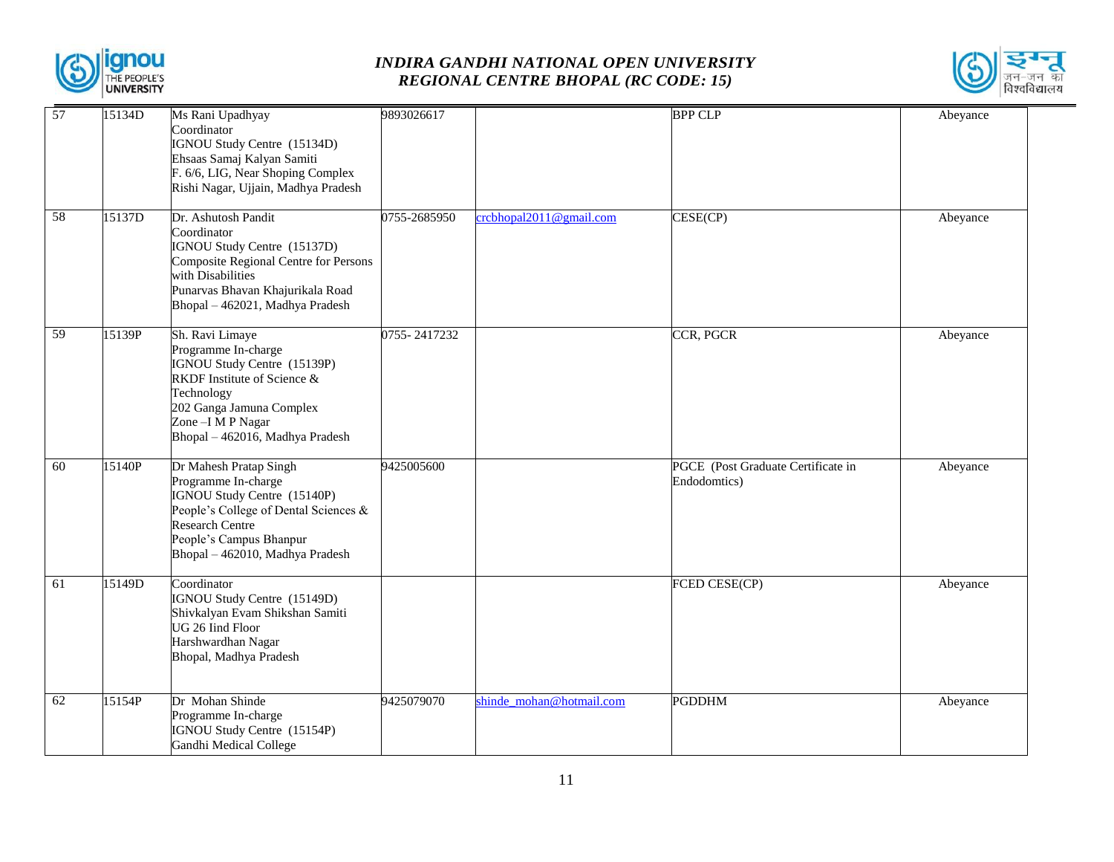



| 57              | 15134D | Ms Rani Upadhyay<br>Coordinator<br>IGNOU Study Centre (15134D)<br>Ehsaas Samaj Kalyan Samiti<br>F. 6/6, LIG, Near Shoping Complex<br>Rishi Nagar, Ujjain, Madhya Pradesh                                | 9893026617   |                          | <b>BPP CLP</b>                                     | Abeyance |
|-----------------|--------|---------------------------------------------------------------------------------------------------------------------------------------------------------------------------------------------------------|--------------|--------------------------|----------------------------------------------------|----------|
| $\overline{58}$ | 15137D | Dr. Ashutosh Pandit<br>Coordinator<br>IGNOU Study Centre (15137D)<br>Composite Regional Centre for Persons<br>with Disabilities<br>Punarvas Bhavan Khajurikala Road<br>Bhopal - 462021, Madhya Pradesh  | 0755-2685950 | crcbhopal2011@gmail.com  | CESE(CP)                                           | Abeyance |
| 59              | 15139P | Sh. Ravi Limaye<br>Programme In-charge<br>IGNOU Study Centre (15139P)<br>RKDF Institute of Science &<br>Technology<br>202 Ganga Jamuna Complex<br>Zone - I M P Nagar<br>Bhopal - 462016, Madhya Pradesh | 0755-2417232 |                          | CCR, PGCR                                          | Abeyance |
| 60              | 15140P | Dr Mahesh Pratap Singh<br>Programme In-charge<br>IGNOU Study Centre (15140P)<br>People's College of Dental Sciences &<br>Research Centre<br>People's Campus Bhanpur<br>Bhopal - 462010, Madhya Pradesh  | 9425005600   |                          | PGCE (Post Graduate Certificate in<br>Endodomtics) | Abeyance |
| 61              | 15149D | Coordinator<br>IGNOU Study Centre (15149D)<br>Shivkalyan Evam Shikshan Samiti<br>UG 26 Iind Floor<br>Harshwardhan Nagar<br>Bhopal, Madhya Pradesh                                                       |              |                          | FCED CESE(CP)                                      | Abeyance |
| 62              | 15154P | Dr Mohan Shinde<br>Programme In-charge<br>IGNOU Study Centre (15154P)<br>Gandhi Medical College                                                                                                         | 9425079070   | shinde mohan@hotmail.com | <b>PGDDHM</b>                                      | Abeyance |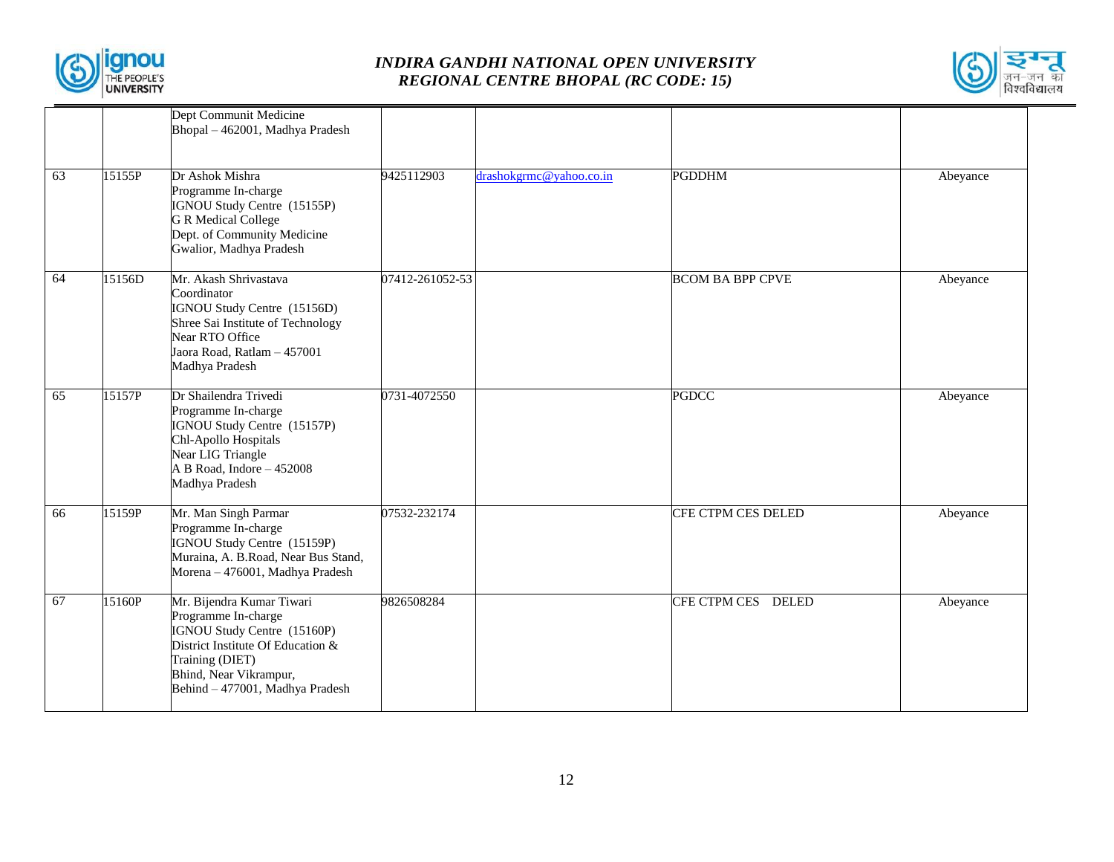



|    |        | Dept Communit Medicine<br>Bhopal - 462001, Madhya Pradesh                                                                                                                                            |                 |                         |                         |          |
|----|--------|------------------------------------------------------------------------------------------------------------------------------------------------------------------------------------------------------|-----------------|-------------------------|-------------------------|----------|
| 63 | 15155P | Dr Ashok Mishra<br>Programme In-charge<br>IGNOU Study Centre (15155P)<br><b>G R Medical College</b><br>Dept. of Community Medicine<br>Gwalior, Madhya Pradesh                                        | 9425112903      | drashokgrmc@yahoo.co.in | <b>PGDDHM</b>           | Abeyance |
| 64 | 15156D | Mr. Akash Shrivastava<br>Coordinator<br>IGNOU Study Centre (15156D)<br>Shree Sai Institute of Technology<br>Near RTO Office<br>Jaora Road, Ratlam - 457001<br>Madhya Pradesh                         | 07412-261052-53 |                         | <b>BCOM BA BPP CPVE</b> | Abeyance |
| 65 | 15157P | Dr Shailendra Trivedi<br>Programme In-charge<br>IGNOU Study Centre (15157P)<br>Chl-Apollo Hospitals<br>Near LIG Triangle<br>A B Road, Indore - 452008<br>Madhya Pradesh                              | 0731-4072550    |                         | <b>PGDCC</b>            | Abeyance |
| 66 | 15159P | Mr. Man Singh Parmar<br>Programme In-charge<br>IGNOU Study Centre (15159P)<br>Muraina, A. B.Road, Near Bus Stand,<br>Morena - 476001, Madhya Pradesh                                                 | 07532-232174    |                         | CFE CTPM CES DELED      | Abeyance |
| 67 | 15160P | Mr. Bijendra Kumar Tiwari<br>Programme In-charge<br>IGNOU Study Centre (15160P)<br>District Institute Of Education &<br>Training (DIET)<br>Bhind, Near Vikrampur,<br>Behind - 477001, Madhya Pradesh | 9826508284      |                         | CFE CTPM CES DELED      | Abeyance |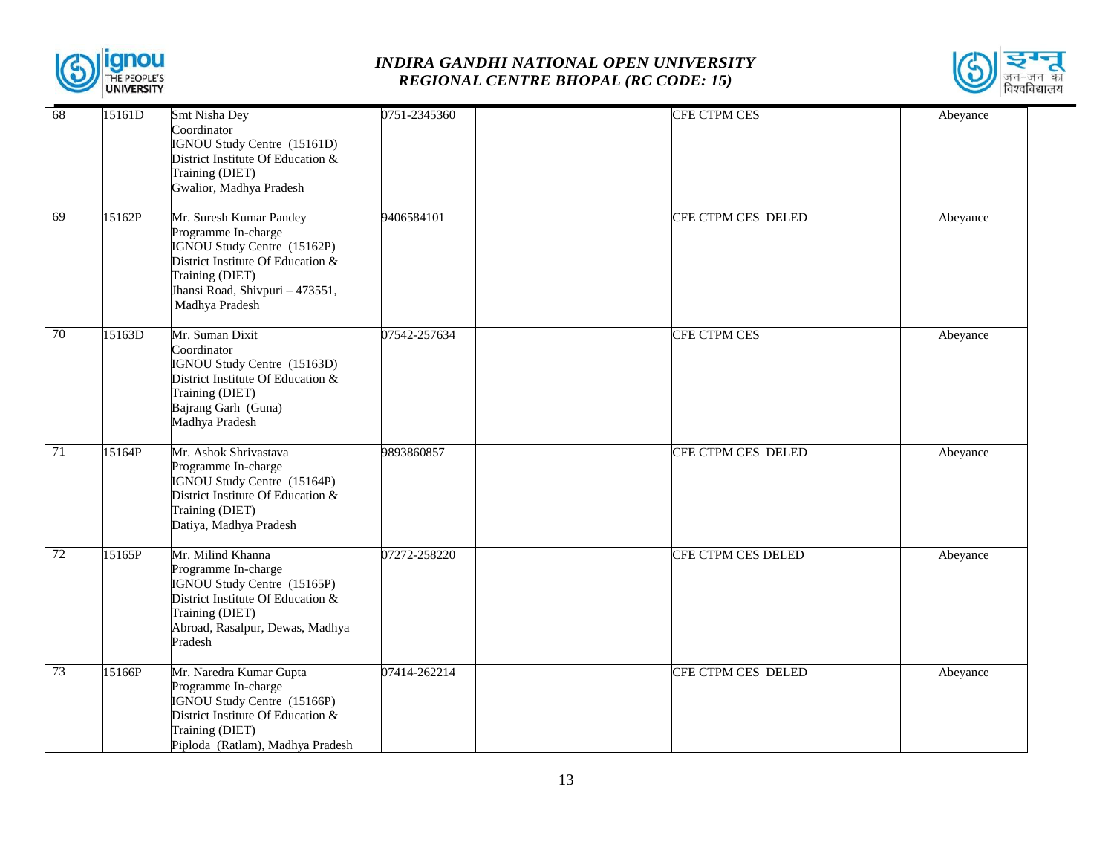



| 68              | 15161D | Smt Nisha Dey                                                                                                                                                                              | 0751-2345360 | CFE CTPM CES        | Abeyance |
|-----------------|--------|--------------------------------------------------------------------------------------------------------------------------------------------------------------------------------------------|--------------|---------------------|----------|
|                 |        | Coordinator<br>IGNOU Study Centre (15161D)<br>District Institute Of Education &<br>Training (DIET)<br>Gwalior, Madhya Pradesh                                                              |              |                     |          |
| 69              | 15162P | Mr. Suresh Kumar Pandey<br>Programme In-charge<br>IGNOU Study Centre (15162P)<br>District Institute Of Education &<br>Training (DIET)<br>Jhansi Road, Shivpuri - 473551,<br>Madhya Pradesh | 9406584101   | CFE CTPM CES DELED  | Abeyance |
| 70              | 15163D | Mr. Suman Dixit<br>Coordinator<br>IGNOU Study Centre (15163D)<br>District Institute Of Education &<br>Training (DIET)<br>Bajrang Garh (Guna)<br>Madhya Pradesh                             | 07542-257634 | <b>CFE CTPM CES</b> | Abeyance |
| $\overline{71}$ | 15164P | Mr. Ashok Shrivastava<br>Programme In-charge<br>IGNOU Study Centre (15164P)<br>District Institute Of Education &<br>Training (DIET)<br>Datiya, Madhya Pradesh                              | 9893860857   | CFE CTPM CES DELED  | Abeyance |
| 72              | 15165P | Mr. Milind Khanna<br>Programme In-charge<br>IGNOU Study Centre (15165P)<br>District Institute Of Education &<br>Training (DIET)<br>Abroad, Rasalpur, Dewas, Madhya<br>Pradesh              | 07272-258220 | CFE CTPM CES DELED  | Abeyance |
| 73              | 15166P | Mr. Naredra Kumar Gupta<br>Programme In-charge<br>IGNOU Study Centre (15166P)<br>District Institute Of Education &<br>Training (DIET)<br>Piploda (Ratlam), Madhya Pradesh                  | 07414-262214 | CFE CTPM CES DELED  | Abeyance |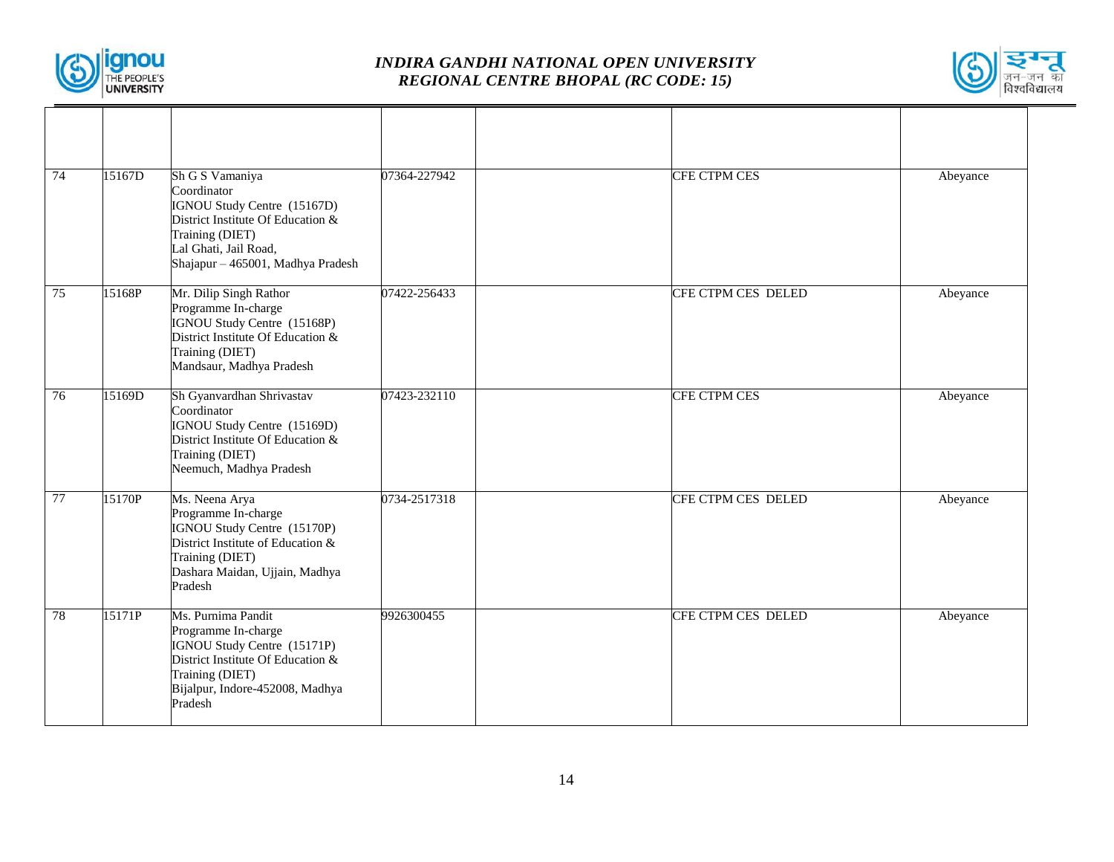



| 74 | 15167D | Sh G S Vamaniya<br>Coordinator<br>IGNOU Study Centre (15167D)<br>District Institute Of Education &<br>Training (DIET)<br>Lal Ghati, Jail Road,<br>Shajapur - 465001, Madhya Pradesh | 07364-227942 | <b>CFE CTPM CES</b> | Abeyance |
|----|--------|-------------------------------------------------------------------------------------------------------------------------------------------------------------------------------------|--------------|---------------------|----------|
| 75 | 15168P | Mr. Dilip Singh Rathor<br>Programme In-charge<br>IGNOU Study Centre (15168P)<br>District Institute Of Education &<br>Training (DIET)<br>Mandsaur, Madhya Pradesh                    | 07422-256433 | CFE CTPM CES DELED  | Abeyance |
| 76 | 15169D | Sh Gyanvardhan Shrivastav<br>Coordinator<br>IGNOU Study Centre (15169D)<br>District Institute Of Education &<br>Training (DIET)<br>Neemuch, Madhya Pradesh                          | 07423-232110 | CFE CTPM CES        | Abeyance |
| 77 | 15170P | Ms. Neena Arya<br>Programme In-charge<br>IGNOU Study Centre (15170P)<br>District Institute of Education &<br>Training (DIET)<br>Dashara Maidan, Ujjain, Madhya<br>Pradesh           | 0734-2517318 | CFE CTPM CES DELED  | Abeyance |
| 78 | 15171P | Ms. Purnima Pandit<br>Programme In-charge<br>IGNOU Study Centre (15171P)<br>District Institute Of Education &<br>Training (DIET)<br>Bijalpur, Indore-452008, Madhya<br>Pradesh      | 9926300455   | CFE CTPM CES DELED  | Abeyance |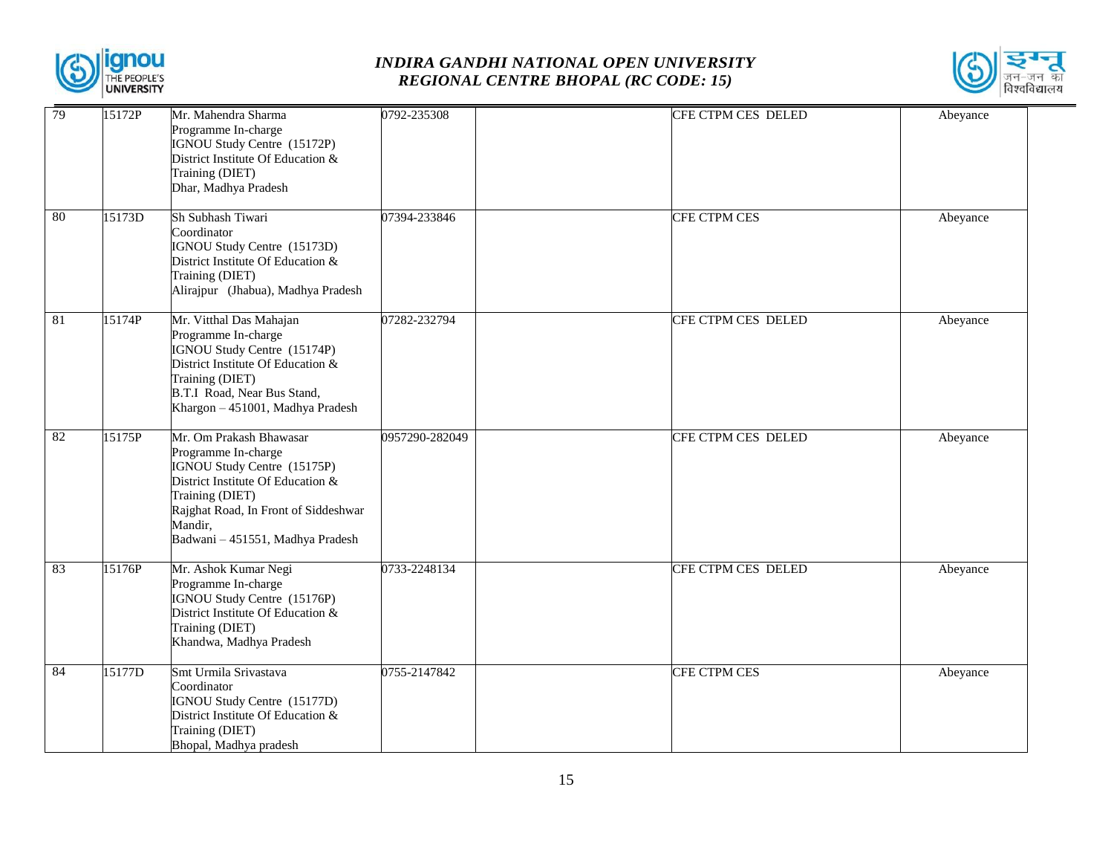



| 79 | 15172P | Mr. Mahendra Sharma<br>Programme In-charge<br>IGNOU Study Centre (15172P)<br>District Institute Of Education &<br>Training (DIET)<br>Dhar, Madhya Pradesh                                                                    | 0792-235308    | CFE CTPM CES DELED  | Abeyance |
|----|--------|------------------------------------------------------------------------------------------------------------------------------------------------------------------------------------------------------------------------------|----------------|---------------------|----------|
| 80 | 15173D | Sh Subhash Tiwari<br>Coordinator<br>IGNOU Study Centre (15173D)<br>District Institute Of Education &<br>Training (DIET)<br>Alirajpur (Jhabua), Madhya Pradesh                                                                | 07394-233846   | <b>CFE CTPM CES</b> | Abeyance |
| 81 | 15174P | Mr. Vitthal Das Mahajan<br>Programme In-charge<br>IGNOU Study Centre (15174P)<br>District Institute Of Education &<br>Training (DIET)<br>B.T.I Road, Near Bus Stand,<br>Khargon - 451001, Madhya Pradesh                     | 07282-232794   | CFE CTPM CES DELED  | Abeyance |
| 82 | 15175P | Mr. Om Prakash Bhawasar<br>Programme In-charge<br>IGNOU Study Centre (15175P)<br>District Institute Of Education &<br>Training (DIET)<br>Rajghat Road, In Front of Siddeshwar<br>Mandir,<br>Badwani - 451551, Madhya Pradesh | 0957290-282049 | CFE CTPM CES DELED  | Abeyance |
| 83 | 15176P | Mr. Ashok Kumar Negi<br>Programme In-charge<br>IGNOU Study Centre (15176P)<br>District Institute Of Education &<br>Training (DIET)<br>Khandwa, Madhya Pradesh                                                                | 0733-2248134   | CFE CTPM CES DELED  | Abeyance |
| 84 | 15177D | Smt Urmila Srivastava<br>Coordinator<br>IGNOU Study Centre (15177D)<br>District Institute Of Education &<br>Training (DIET)<br>Bhopal, Madhya pradesh                                                                        | 0755-2147842   | CFE CTPM CES        | Abeyance |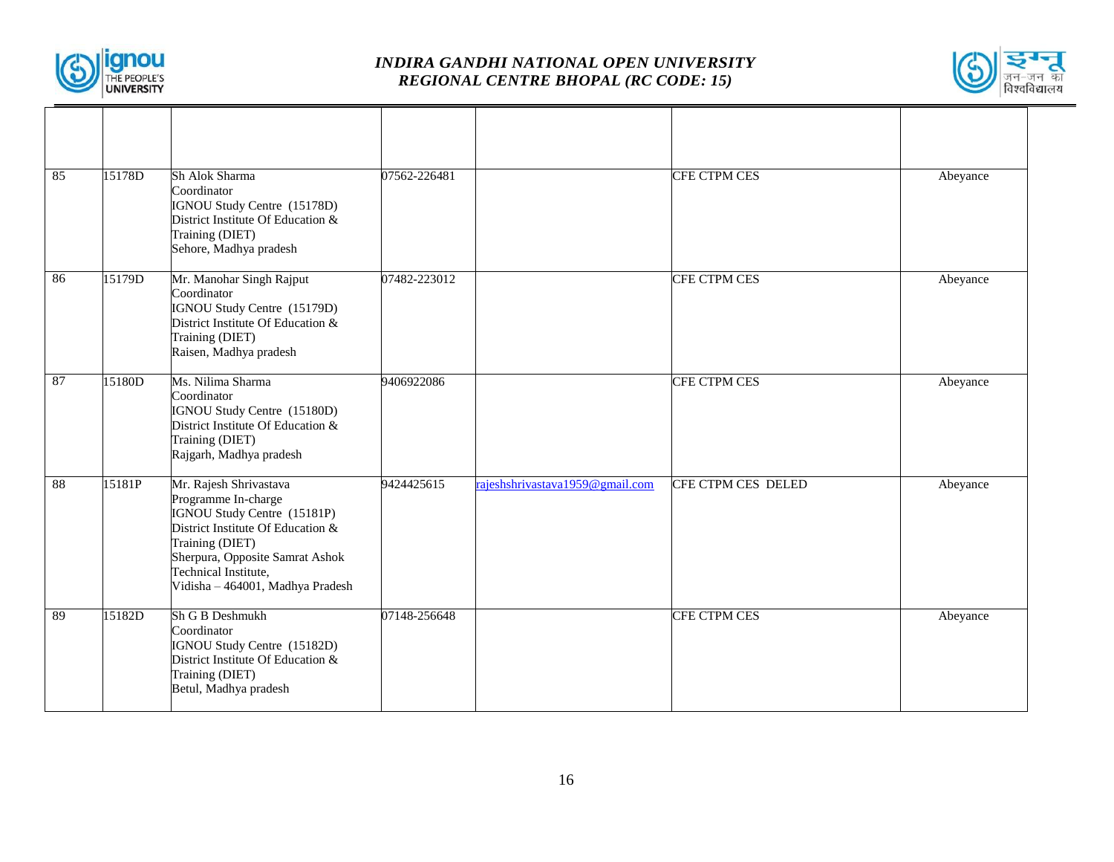



| 85 | 15178D | Sh Alok Sharma<br>Coordinator<br>IGNOU Study Centre (15178D)<br>District Institute Of Education &<br>Training (DIET)<br>Sehore, Madhya pradesh                                                                                      | 07562-226481 |                                 | <b>CFE CTPM CES</b> | Abeyance |
|----|--------|-------------------------------------------------------------------------------------------------------------------------------------------------------------------------------------------------------------------------------------|--------------|---------------------------------|---------------------|----------|
| 86 | 15179D | Mr. Manohar Singh Rajput<br>Coordinator<br>IGNOU Study Centre (15179D)<br>District Institute Of Education &<br>Training (DIET)<br>Raisen, Madhya pradesh                                                                            | 07482-223012 |                                 | CFE CTPM CES        | Abeyance |
| 87 | 15180D | Ms. Nilima Sharma<br>Coordinator<br>IGNOU Study Centre (15180D)<br>District Institute Of Education &<br>Training (DIET)<br>Rajgarh, Madhya pradesh                                                                                  | 9406922086   |                                 | <b>CFE CTPM CES</b> | Abeyance |
| 88 | 15181P | Mr. Rajesh Shrivastava<br>Programme In-charge<br>IGNOU Study Centre (15181P)<br>District Institute Of Education &<br>Training (DIET)<br>Sherpura, Opposite Samrat Ashok<br>Technical Institute,<br>Vidisha - 464001, Madhya Pradesh | 9424425615   | rajeshshrivastava1959@gmail.com | CFE CTPM CES DELED  | Abeyance |
| 89 | 15182D | Sh G B Deshmukh<br>Coordinator<br>IGNOU Study Centre (15182D)<br>District Institute Of Education &<br>Training (DIET)<br>Betul, Madhya pradesh                                                                                      | 07148-256648 |                                 | CFE CTPM CES        | Abeyance |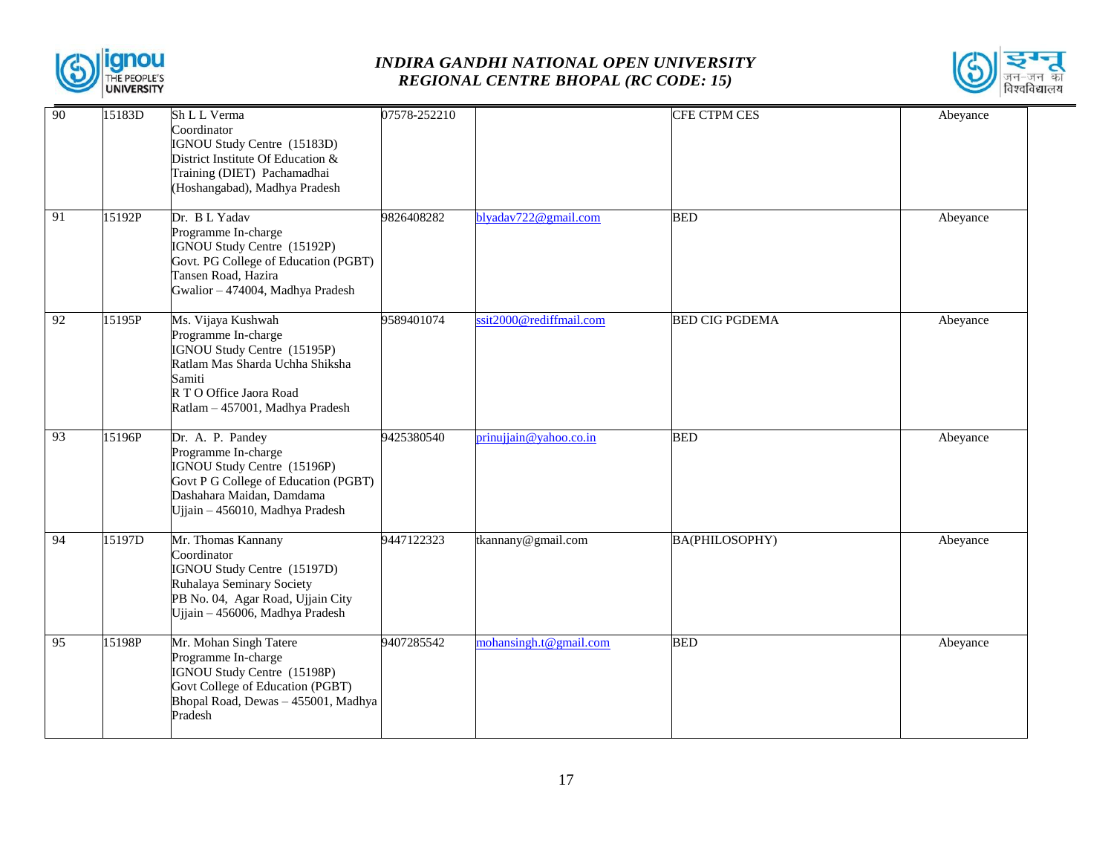



| 90              | 15183D | Sh L L Verma                                                        | 07578-252210 |                         | CFE CTPM CES          | Abeyance |
|-----------------|--------|---------------------------------------------------------------------|--------------|-------------------------|-----------------------|----------|
|                 |        | Coordinator<br>IGNOU Study Centre (15183D)                          |              |                         |                       |          |
|                 |        | District Institute Of Education &                                   |              |                         |                       |          |
|                 |        | Training (DIET) Pachamadhai                                         |              |                         |                       |          |
|                 |        | (Hoshangabad), Madhya Pradesh                                       |              |                         |                       |          |
| 91              | 15192P | Dr. B L Yadav                                                       | 9826408282   | blyadav722@gmail.com    | <b>BED</b>            | Abeyance |
|                 |        | Programme In-charge                                                 |              |                         |                       |          |
|                 |        | IGNOU Study Centre (15192P)<br>Govt. PG College of Education (PGBT) |              |                         |                       |          |
|                 |        | Tansen Road, Hazira                                                 |              |                         |                       |          |
|                 |        | Gwalior - 474004, Madhya Pradesh                                    |              |                         |                       |          |
| 92              | 15195P | Ms. Vijaya Kushwah                                                  | 9589401074   | ssit2000@rediffmail.com | <b>BED CIG PGDEMA</b> | Abeyance |
|                 |        | Programme In-charge<br>IGNOU Study Centre (15195P)                  |              |                         |                       |          |
|                 |        | Ratlam Mas Sharda Uchha Shiksha                                     |              |                         |                       |          |
|                 |        | Samiti                                                              |              |                         |                       |          |
|                 |        | R T O Office Jaora Road<br>Ratlam - 457001, Madhya Pradesh          |              |                         |                       |          |
|                 |        |                                                                     |              |                         |                       |          |
| 93              | 15196P | Dr. A. P. Pandey                                                    | 9425380540   | prinujiain@yahoo.co.in  | <b>BED</b>            | Abeyance |
|                 |        | Programme In-charge<br>IGNOU Study Centre (15196P)                  |              |                         |                       |          |
|                 |        | Govt P G College of Education (PGBT)                                |              |                         |                       |          |
|                 |        | Dashahara Maidan, Damdama<br>Ujjain - 456010, Madhya Pradesh        |              |                         |                       |          |
|                 |        |                                                                     |              |                         |                       |          |
| 94              | 15197D | Mr. Thomas Kannany<br>Coordinator                                   | 9447122323   | tkannany@gmail.com      | BA(PHILOSOPHY)        | Abeyance |
|                 |        | IGNOU Study Centre (15197D)                                         |              |                         |                       |          |
|                 |        | Ruhalaya Seminary Society                                           |              |                         |                       |          |
|                 |        | PB No. 04, Agar Road, Ujjain City                                   |              |                         |                       |          |
|                 |        | Ujjain - 456006, Madhya Pradesh                                     |              |                         |                       |          |
| $\overline{95}$ | 15198P | Mr. Mohan Singh Tatere                                              | 9407285542   | mohansingh.t@gmail.com  | <b>BED</b>            | Abeyance |
|                 |        | Programme In-charge<br>IGNOU Study Centre (15198P)                  |              |                         |                       |          |
|                 |        | Govt College of Education (PGBT)                                    |              |                         |                       |          |
|                 |        | Bhopal Road, Dewas - 455001, Madhya                                 |              |                         |                       |          |
|                 |        | Pradesh                                                             |              |                         |                       |          |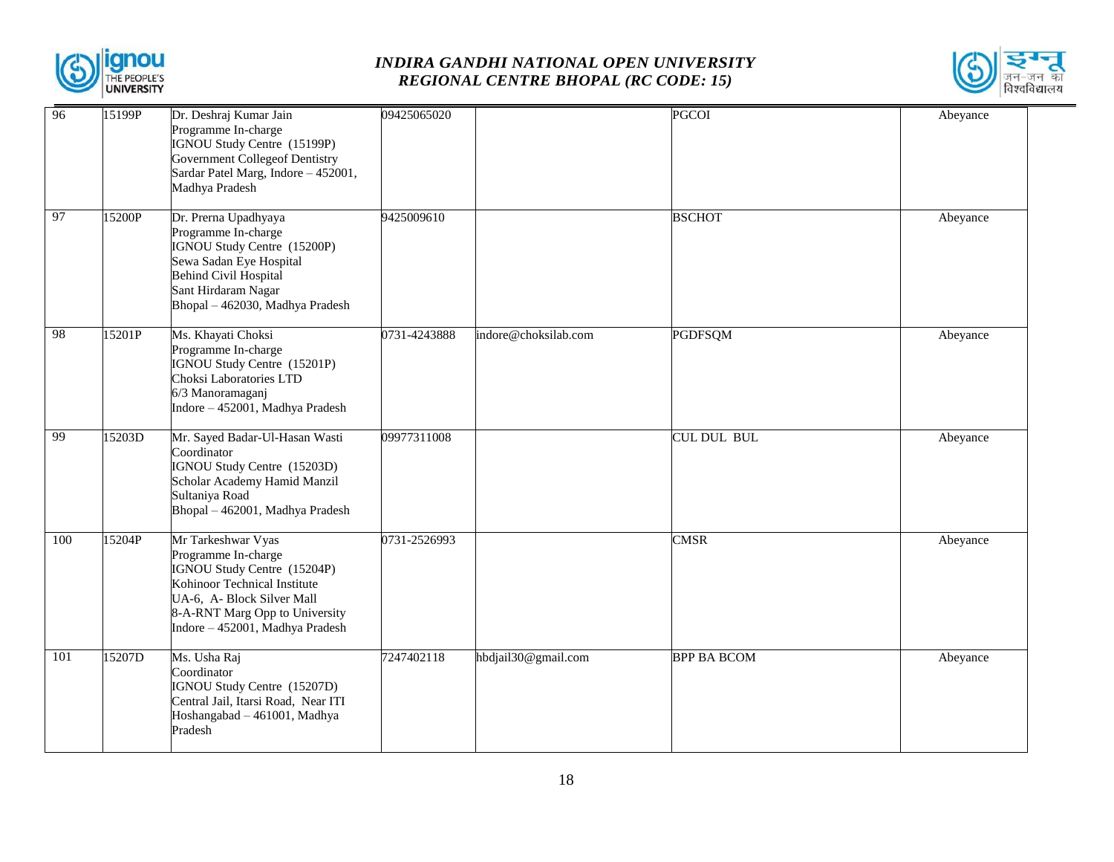



| 96  | 15199P | Dr. Deshraj Kumar Jain<br>Programme In-charge<br>IGNOU Study Centre (15199P)<br><b>Government Collegeof Dentistry</b><br>Sardar Patel Marg, Indore - 452001,<br>Madhya Pradesh                              | 09425065020  |                      | <b>PGCOI</b>       | Abeyance |
|-----|--------|-------------------------------------------------------------------------------------------------------------------------------------------------------------------------------------------------------------|--------------|----------------------|--------------------|----------|
| 97  | 15200P | Dr. Prerna Upadhyaya<br>Programme In-charge<br>IGNOU Study Centre (15200P)<br>Sewa Sadan Eye Hospital<br><b>Behind Civil Hospital</b><br>Sant Hirdaram Nagar<br>Bhopal - 462030, Madhya Pradesh             | 9425009610   |                      | <b>BSCHOT</b>      | Abeyance |
| 98  | 15201P | Ms. Khayati Choksi<br>Programme In-charge<br>IGNOU Study Centre (15201P)<br>Choksi Laboratories LTD<br>6/3 Manoramaganj<br>Indore - 452001, Madhya Pradesh                                                  | 0731-4243888 | indore@choksilab.com | <b>PGDFSQM</b>     | Abeyance |
| 99  | 15203D | Mr. Sayed Badar-Ul-Hasan Wasti<br>Coordinator<br>IGNOU Study Centre (15203D)<br>Scholar Academy Hamid Manzil<br>Sultaniya Road<br>Bhopal - 462001, Madhya Pradesh                                           | 09977311008  |                      | CUL DUL BUL        | Abeyance |
| 100 | 15204P | Mr Tarkeshwar Vyas<br>Programme In-charge<br>IGNOU Study Centre (15204P)<br>Kohinoor Technical Institute<br>UA-6, A- Block Silver Mall<br>8-A-RNT Marg Opp to University<br>Indore - 452001, Madhya Pradesh | 0731-2526993 |                      | <b>CMSR</b>        | Abeyance |
| 101 | 15207D | Ms. Usha Raj<br>Coordinator<br>IGNOU Study Centre (15207D)<br>Central Jail, Itarsi Road, Near ITI<br>Hoshangabad - 461001, Madhya<br>Pradesh                                                                | 7247402118   | hbdjail30@gmail.com  | <b>BPP BA BCOM</b> | Abeyance |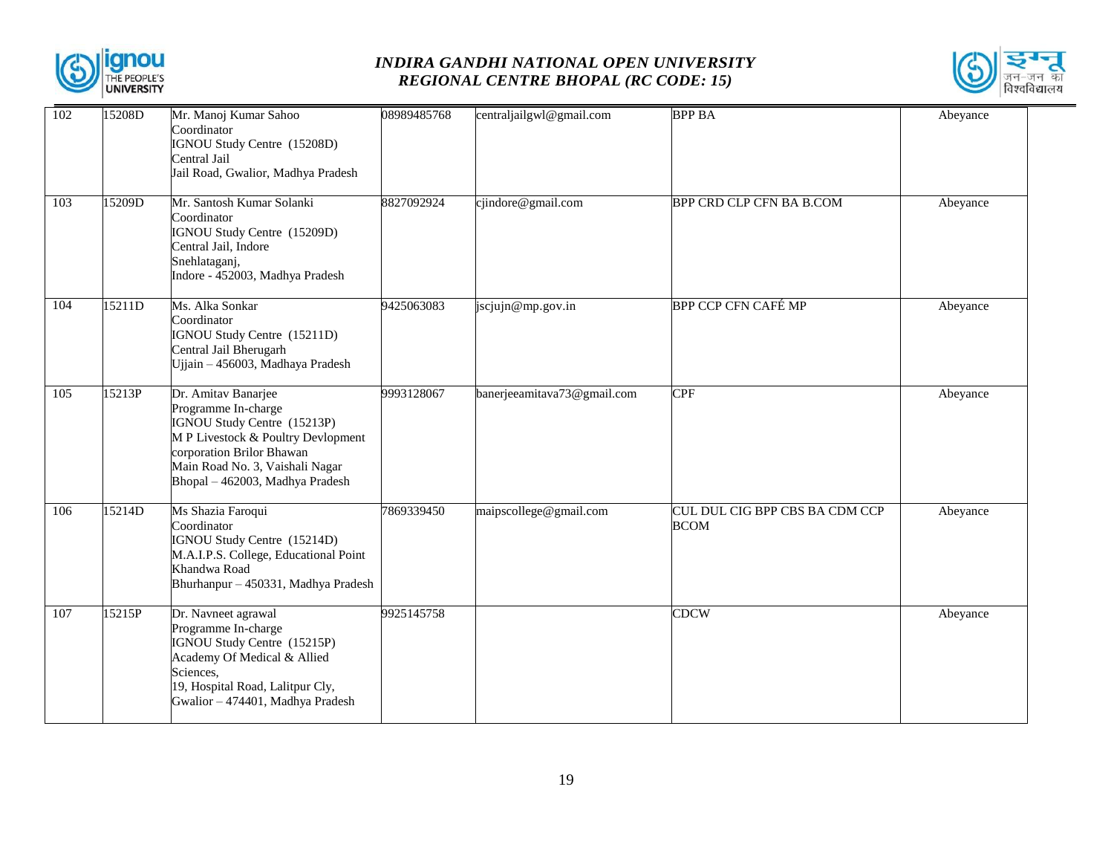



| 102 | 15208D | Mr. Manoj Kumar Sahoo<br>Coordinator<br>IGNOU Study Centre (15208D)<br>Central Jail<br>Jail Road, Gwalior, Madhya Pradesh                                                                                          | 08989485768 | centraljailgwl@gmail.com    | <b>BPP BA</b>                                 | Abeyance |
|-----|--------|--------------------------------------------------------------------------------------------------------------------------------------------------------------------------------------------------------------------|-------------|-----------------------------|-----------------------------------------------|----------|
| 103 | 15209D | Mr. Santosh Kumar Solanki<br>Coordinator<br>IGNOU Study Centre (15209D)<br>Central Jail, Indore<br>Snehlataganj,<br>Indore - 452003, Madhya Pradesh                                                                | 8827092924  | cjindore@gmail.com          | BPP CRD CLP CFN BA B.COM                      | Abeyance |
| 104 | 15211D | Ms. Alka Sonkar<br>Coordinator<br>IGNOU Study Centre (15211D)<br>Central Jail Bherugarh<br>Ujjain - 456003, Madhaya Pradesh                                                                                        | 9425063083  | jscjujn@mp.gov.in           | BPP CCP CFN CAFÉ MP                           | Abeyance |
| 105 | 15213P | Dr. Amitav Banarjee<br>Programme In-charge<br>IGNOU Study Centre (15213P)<br>M P Livestock & Poultry Devlopment<br>corporation Brilor Bhawan<br>Main Road No. 3, Vaishali Nagar<br>Bhopal - 462003, Madhya Pradesh | 9993128067  | banerjeeamitava73@gmail.com | <b>CPF</b>                                    | Abeyance |
| 106 | 15214D | Ms Shazia Faroqui<br>Coordinator<br>IGNOU Study Centre (15214D)<br>M.A.I.P.S. College, Educational Point<br>Khandwa Road<br>Bhurhanpur - 450331, Madhya Pradesh                                                    | 7869339450  | maipscollege@gmail.com      | CUL DUL CIG BPP CBS BA CDM CCP<br><b>BCOM</b> | Abeyance |
| 107 | 15215P | Dr. Navneet agrawal<br>Programme In-charge<br>IGNOU Study Centre (15215P)<br>Academy Of Medical & Allied<br>Sciences,<br>19, Hospital Road, Lalitpur Cly,<br>Gwalior - 474401, Madhya Pradesh                      | 9925145758  |                             | <b>CDCW</b>                                   | Abeyance |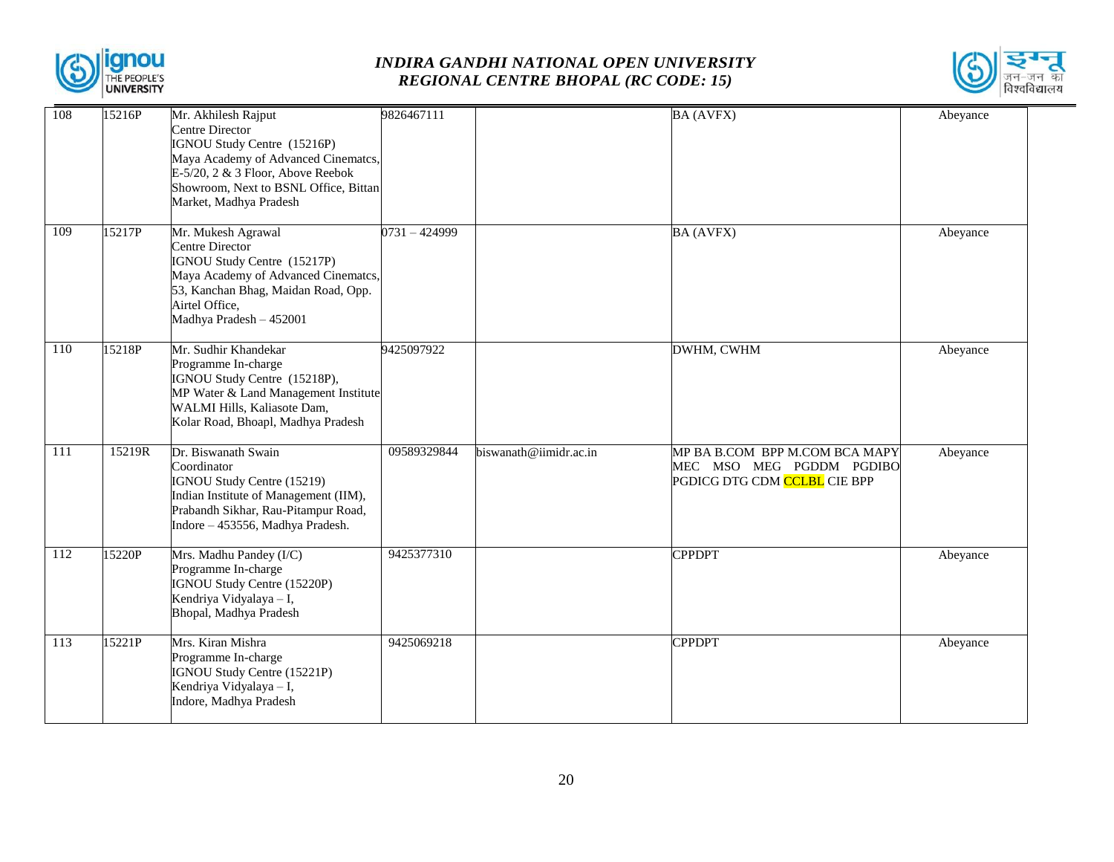



| 108 | 15216P | Mr. Akhilesh Rajput<br>Centre Director<br>IGNOU Study Centre (15216P)<br>Maya Academy of Advanced Cinematcs,<br>$E-5/20$ , 2 & 3 Floor, Above Reebok<br>Showroom, Next to BSNL Office, Bittan<br>Market, Madhya Pradesh | 9826467111  |                        | <b>BA (AVFX)</b>                                                                           | Abeyance |
|-----|--------|-------------------------------------------------------------------------------------------------------------------------------------------------------------------------------------------------------------------------|-------------|------------------------|--------------------------------------------------------------------------------------------|----------|
| 109 | 15217P | Mr. Mukesh Agrawal<br><b>Centre Director</b><br>IGNOU Study Centre (15217P)<br>Maya Academy of Advanced Cinematcs,<br>53, Kanchan Bhag, Maidan Road, Opp.<br>Airtel Office,<br>Madhya Pradesh - 452001                  | 0731-424999 |                        | <b>BA (AVFX)</b>                                                                           | Abeyance |
| 110 | 15218P | Mr. Sudhir Khandekar<br>Programme In-charge<br>IGNOU Study Centre (15218P),<br>MP Water & Land Management Institute<br>WALMI Hills, Kaliasote Dam,<br>Kolar Road, Bhoapl, Madhya Pradesh                                | 9425097922  |                        | DWHM, CWHM                                                                                 | Abeyance |
| 111 | 15219R | Dr. Biswanath Swain<br>Coordinator<br>IGNOU Study Centre (15219)<br>Indian Institute of Management (IIM),<br>Prabandh Sikhar, Rau-Pitampur Road,<br>Indore - 453556, Madhya Pradesh.                                    | 09589329844 | biswanath@iimidr.ac.in | MP BA B.COM BPP M.COM BCA MAPY<br>MEC MSO MEG PGDDM PGDIBO<br>PGDICG DTG CDM CCLBL CIE BPP | Abeyance |
| 112 | 15220P | Mrs. Madhu Pandey (I/C)<br>Programme In-charge<br>IGNOU Study Centre (15220P)<br>Kendriya Vidyalaya - I,<br>Bhopal, Madhya Pradesh                                                                                      | 9425377310  |                        | <b>CPPDPT</b>                                                                              | Abeyance |
| 113 | 15221P | Mrs. Kiran Mishra<br>Programme In-charge<br>IGNOU Study Centre (15221P)<br>Kendriya Vidyalaya - I,<br>Indore, Madhya Pradesh                                                                                            | 9425069218  |                        | <b>CPPDPT</b>                                                                              | Abeyance |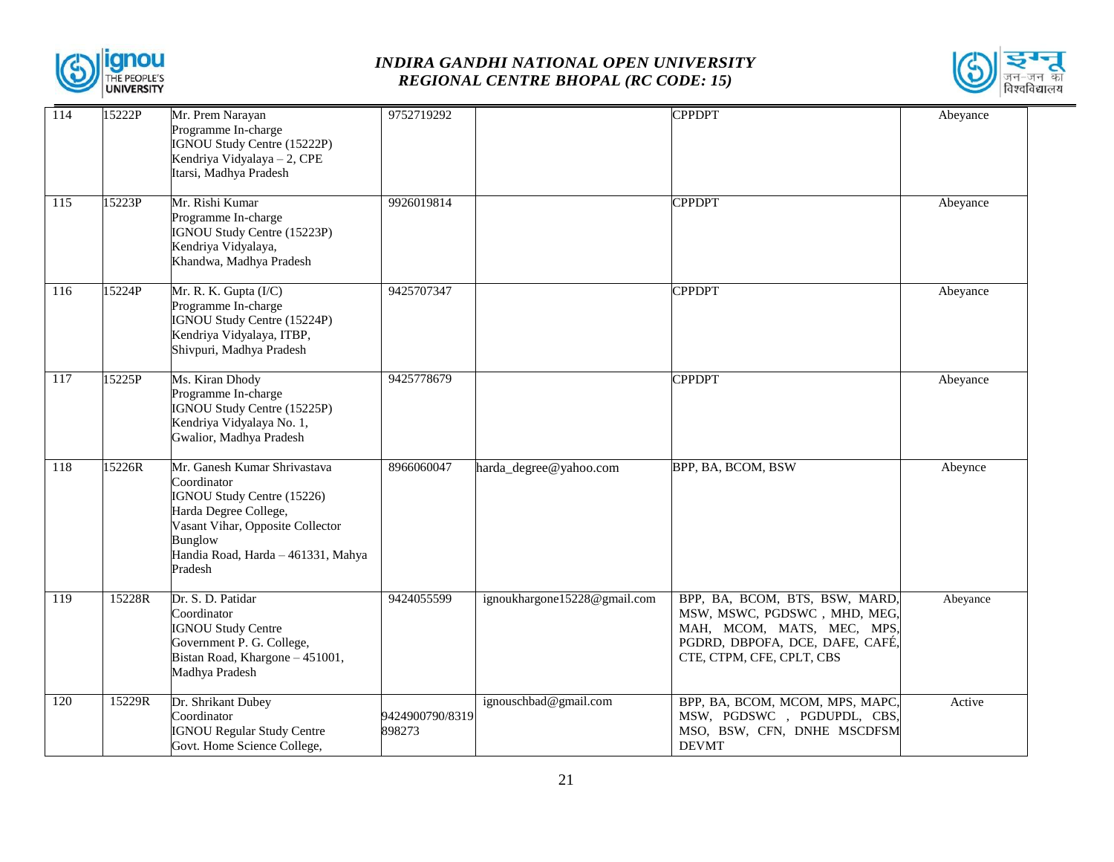



| 114              | 15222P | Mr. Prem Narayan<br>Programme In-charge<br>IGNOU Study Centre (15222P)<br>Kendriya Vidyalaya - 2, CPE<br>Itarsi, Madhya Pradesh                                                                           | 9752719292                |                              | <b>CPPDPT</b>                                                                                                                                                | Abeyance |
|------------------|--------|-----------------------------------------------------------------------------------------------------------------------------------------------------------------------------------------------------------|---------------------------|------------------------------|--------------------------------------------------------------------------------------------------------------------------------------------------------------|----------|
| 115              | 15223P | Mr. Rishi Kumar<br>Programme In-charge<br>IGNOU Study Centre (15223P)<br>Kendriya Vidyalaya,<br>Khandwa, Madhya Pradesh                                                                                   | 9926019814                |                              | <b>CPPDPT</b>                                                                                                                                                | Abeyance |
| 116              | 15224P | Mr. R. K. Gupta (I/C)<br>Programme In-charge<br>IGNOU Study Centre (15224P)<br>Kendriya Vidyalaya, ITBP,<br>Shivpuri, Madhya Pradesh                                                                      | 9425707347                |                              | <b>CPPDPT</b>                                                                                                                                                | Abeyance |
| 117              | 15225P | Ms. Kiran Dhody<br>Programme In-charge<br>IGNOU Study Centre (15225P)<br>Kendriya Vidyalaya No. 1,<br>Gwalior, Madhya Pradesh                                                                             | 9425778679                |                              | <b>CPPDPT</b>                                                                                                                                                | Abeyance |
| 118              | 15226R | Mr. Ganesh Kumar Shrivastava<br>Coordinator<br>IGNOU Study Centre (15226)<br>Harda Degree College,<br>Vasant Vihar, Opposite Collector<br><b>Bunglow</b><br>Handia Road, Harda - 461331, Mahya<br>Pradesh | 8966060047                | harda_degree@yahoo.com       | BPP, BA, BCOM, BSW                                                                                                                                           | Abeynce  |
| $\overline{119}$ | 15228R | Dr. S. D. Patidar<br>Coordinator<br><b>IGNOU Study Centre</b><br>Government P. G. College,<br>Bistan Road, Khargone - 451001,<br>Madhya Pradesh                                                           | 9424055599                | ignoukhargone15228@gmail.com | BPP, BA, BCOM, BTS, BSW, MARD,<br>MSW, MSWC, PGDSWC, MHD, MEG,<br>MAH, MCOM, MATS, MEC, MPS,<br>PGDRD, DBPOFA, DCE, DAFE, CAFÉ,<br>CTE, CTPM, CFE, CPLT, CBS | Abeyance |
| 120              | 15229R | Dr. Shrikant Dubey<br>Coordinator<br><b>IGNOU Regular Study Centre</b><br>Govt. Home Science College,                                                                                                     | 9424900790/8319<br>898273 | ignouschbad@gmail.com        | BPP, BA, BCOM, MCOM, MPS, MAPC,<br>MSW, PGDSWC, PGDUPDL, CBS,<br>MSO, BSW, CFN, DNHE MSCDFSM<br><b>DEVMT</b>                                                 | Active   |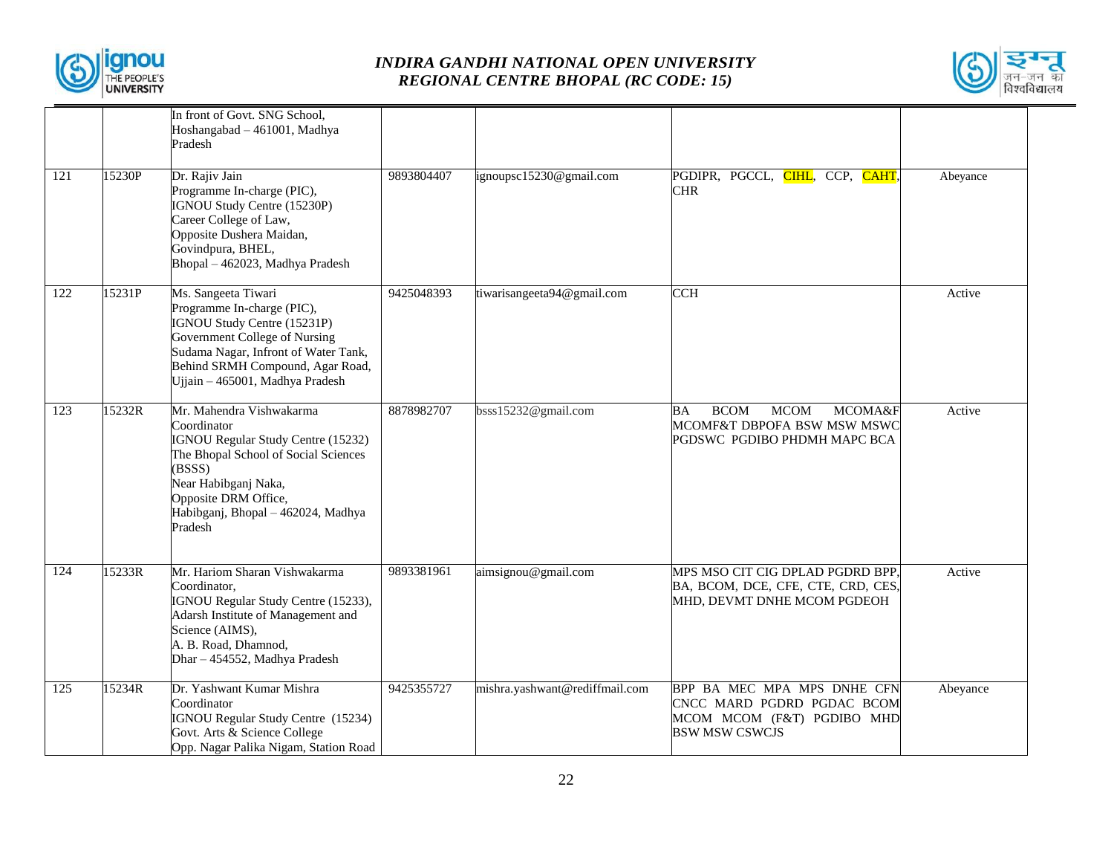



|                  |        | In front of Govt. SNG School,<br>Hoshangabad - 461001, Madhya<br>Pradesh                                                                                                                                                                |            |                                |                                                                                                                       |          |
|------------------|--------|-----------------------------------------------------------------------------------------------------------------------------------------------------------------------------------------------------------------------------------------|------------|--------------------------------|-----------------------------------------------------------------------------------------------------------------------|----------|
| 121              | 15230P | Dr. Rajiv Jain<br>Programme In-charge (PIC),<br>IGNOU Study Centre (15230P)<br>Career College of Law,<br>Opposite Dushera Maidan,<br>Govindpura, BHEL,<br>Bhopal - 462023, Madhya Pradesh                                               | 9893804407 | ignoupsc15230@gmail.com        | PGDIPR, PGCCL, <mark>CIHL</mark> , CCP, <mark>CAHT</mark> ,<br><b>CHR</b>                                             | Abeyance |
| 122              | 15231P | Ms. Sangeeta Tiwari<br>Programme In-charge (PIC),<br>IGNOU Study Centre (15231P)<br>Government College of Nursing<br>Sudama Nagar, Infront of Water Tank,<br>Behind SRMH Compound, Agar Road,<br>Ujjain – 465001, Madhya Pradesh        | 9425048393 | tiwarisangeeta94@gmail.com     | <b>CCH</b>                                                                                                            | Active   |
| $\overline{123}$ | 15232R | Mr. Mahendra Vishwakarma<br>Coordinator<br><b>IGNOU Regular Study Centre (15232)</b><br>The Bhopal School of Social Sciences<br>(BSSS)<br>Near Habibganj Naka,<br>Opposite DRM Office,<br>Habibganj, Bhopal - 462024, Madhya<br>Pradesh | 8878982707 | bsss15232@gmail.com            | <b>BCOM</b><br><b>MCOM</b><br><b>MCOMA&amp;F</b><br>BА<br>MCOMF&T DBPOFA BSW MSW MSWC<br>PGDSWC PGDIBO PHDMH MAPC BCA | Active   |
| $\overline{124}$ | 15233R | Mr. Hariom Sharan Vishwakarma<br>Coordinator,<br>IGNOU Regular Study Centre (15233),<br>Adarsh Institute of Management and<br>Science (AIMS),<br>A. B. Road, Dhamnod,<br>Dhar - 454552, Madhya Pradesh                                  | 9893381961 | aimsignou@gmail.com            | MPS MSO CIT CIG DPLAD PGDRD BPP,<br>BA, BCOM, DCE, CFE, CTE, CRD, CES,<br>MHD, DEVMT DNHE MCOM PGDEOH                 | Active   |
| 125              | 15234R | Dr. Yashwant Kumar Mishra<br>Coordinator<br>IGNOU Regular Study Centre (15234)<br>Govt. Arts & Science College<br>Opp. Nagar Palika Nigam, Station Road                                                                                 | 9425355727 | mishra.yashwant@rediffmail.com | BPP BA MEC MPA MPS DNHE CFN<br>CNCC MARD PGDRD PGDAC BCOM<br>MCOM MCOM (F&T) PGDIBO MHD<br>BSW MSW CSWCJS             | Abeyance |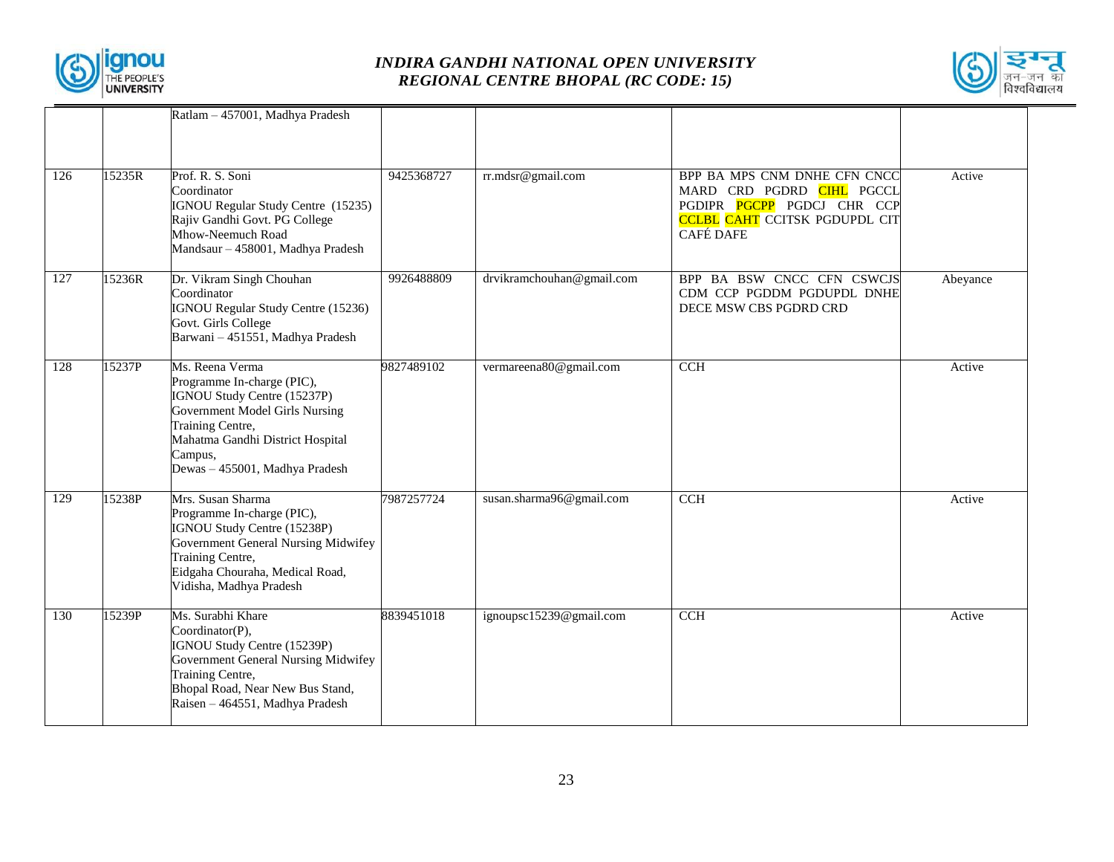



|     |        | Ratlam - 457001, Madhya Pradesh                                                                                                                                                                                     |            |                           |                                                                                                                                                            |          |
|-----|--------|---------------------------------------------------------------------------------------------------------------------------------------------------------------------------------------------------------------------|------------|---------------------------|------------------------------------------------------------------------------------------------------------------------------------------------------------|----------|
| 126 | 15235R | Prof. R. S. Soni<br>Coordinator<br>IGNOU Regular Study Centre (15235)<br>Rajiv Gandhi Govt. PG College<br>Mhow-Neemuch Road<br>Mandsaur - 458001, Madhya Pradesh                                                    | 9425368727 | rr.mdsr@gmail.com         | BPP BA MPS CNM DNHE CFN CNCC<br>MARD CRD PGDRD CIHL PGCCL<br>PGDIPR <b>PGCPP</b> PGDCJ CHR CCP<br><b>CCLBL CAHT</b> CCITSK PGDUPDL CIT<br><b>CAFÉ DAFE</b> | Active   |
| 127 | 15236R | Dr. Vikram Singh Chouhan<br>Coordinator<br>IGNOU Regular Study Centre (15236)<br>Govt. Girls College<br>Barwani - 451551, Madhya Pradesh                                                                            | 9926488809 | drvikramchouhan@gmail.com | BPP BA BSW CNCC CFN CSWCJS<br>CDM CCP PGDDM PGDUPDL DNHE<br>DECE MSW CBS PGDRD CRD                                                                         | Abeyance |
| 128 | 15237P | Ms. Reena Verma<br>Programme In-charge (PIC),<br>IGNOU Study Centre (15237P)<br>Government Model Girls Nursing<br>Training Centre,<br>Mahatma Gandhi District Hospital<br>Campus,<br>Dewas - 455001, Madhya Pradesh | 9827489102 | vermareena80@gmail.com    | CCH                                                                                                                                                        | Active   |
| 129 | 15238P | Mrs. Susan Sharma<br>Programme In-charge (PIC),<br>IGNOU Study Centre (15238P)<br>Government General Nursing Midwifey<br>Training Centre,<br>Eidgaha Chouraha, Medical Road,<br>Vidisha, Madhya Pradesh             | 7987257724 | susan.sharma96@gmail.com  | CCH                                                                                                                                                        | Active   |
| 130 | 15239P | Ms. Surabhi Khare<br>Coordinator(P),<br>IGNOU Study Centre (15239P)<br>Government General Nursing Midwifey<br>Training Centre,<br>Bhopal Road, Near New Bus Stand,<br>Raisen – 464551, Madhya Pradesh               | 8839451018 | ignoupsc15239@gmail.com   | <b>CCH</b>                                                                                                                                                 | Active   |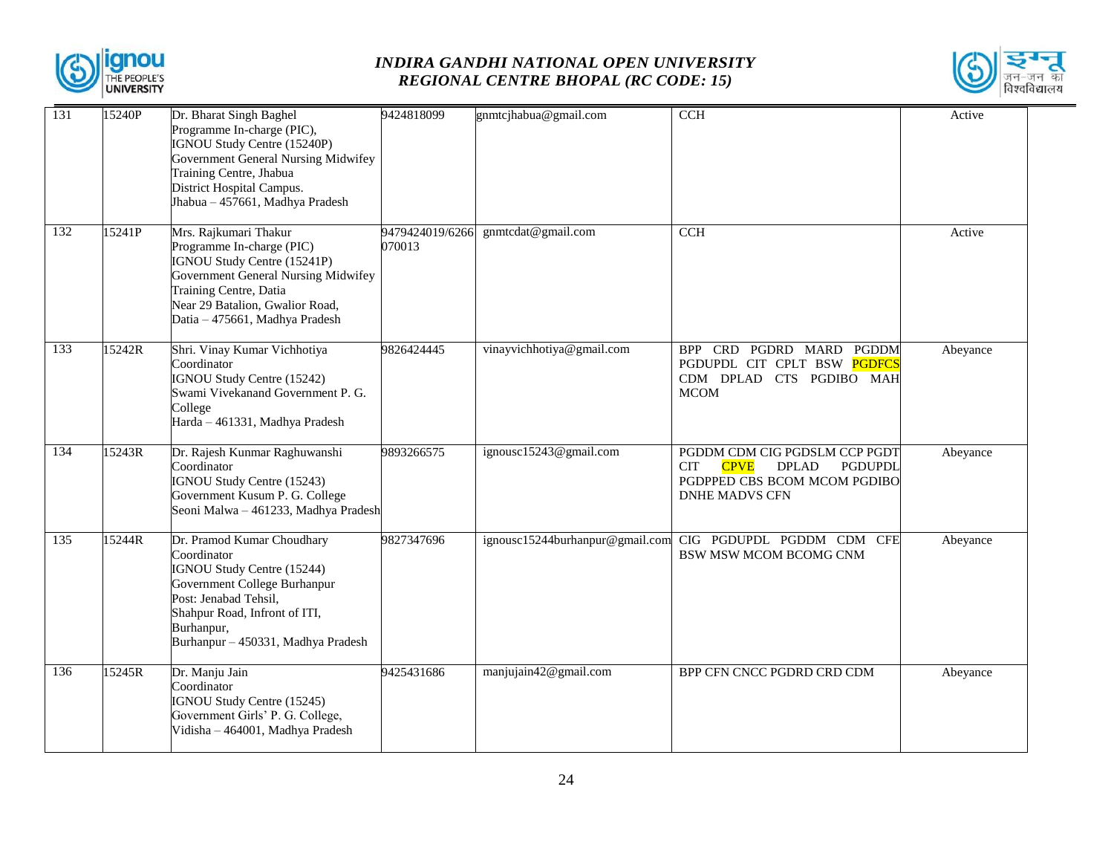



| 131 | 15240P | Dr. Bharat Singh Baghel<br>Programme In-charge (PIC),<br>IGNOU Study Centre (15240P)<br>Government General Nursing Midwifey<br>Training Centre, Jhabua<br>District Hospital Campus.<br>Jhabua - 457661, Madhya Pradesh  | 9424818099                | gnmtcjhabua@gmail.com           | <b>CCH</b>                                                                                                                                     | Active   |
|-----|--------|-------------------------------------------------------------------------------------------------------------------------------------------------------------------------------------------------------------------------|---------------------------|---------------------------------|------------------------------------------------------------------------------------------------------------------------------------------------|----------|
| 132 | 15241P | Mrs. Rajkumari Thakur<br>Programme In-charge (PIC)<br>IGNOU Study Centre (15241P)<br>Government General Nursing Midwifey<br>Training Centre, Datia<br>Near 29 Batalion, Gwalior Road,<br>Datia - 475661, Madhya Pradesh | 9479424019/6266<br>070013 | gnmtcdat@gmail.com              | <b>CCH</b>                                                                                                                                     | Active   |
| 133 | 15242R | Shri. Vinay Kumar Vichhotiya<br>Coordinator<br>IGNOU Study Centre (15242)<br>Swami Vivekanand Government P. G.<br>College<br>Harda - 461331, Madhya Pradesh                                                             | 9826424445                | vinayvichhotiya@gmail.com       | CRD PGDRD MARD PGDDM<br><b>BPP</b><br>PGDUPDL CIT CPLT BSW PGDFCS<br>CDM DPLAD CTS PGDIBO MAH<br><b>MCOM</b>                                   | Abeyance |
| 134 | 15243R | Dr. Rajesh Kunmar Raghuwanshi<br>Coordinator<br>IGNOU Study Centre (15243)<br>Government Kusum P. G. College<br>Seoni Malwa - 461233, Madhya Pradesh                                                                    | 9893266575                | ignousc15243@gmail.com          | PGDDM CDM CIG PGDSLM CCP PGDT<br><b>CPVE</b><br>PGDUPDL<br><b>CIT</b><br><b>DPLAD</b><br>PGDPPED CBS BCOM MCOM PGDIBO<br><b>DNHE MADVS CFN</b> | Abeyance |
| 135 | 15244R | Dr. Pramod Kumar Choudhary<br>Coordinator<br>IGNOU Study Centre (15244)<br>Government College Burhanpur<br>Post: Jenabad Tehsil,<br>Shahpur Road, Infront of ITI,<br>Burhanpur,<br>Burhanpur - 450331, Madhya Pradesh   | 9827347696                | ignousc15244burhanpur@gmail.com | CIG PGDUPDL PGDDM CDM<br><b>CFE</b><br><b>BSW MSW MCOM BCOMG CNM</b>                                                                           | Abeyance |
| 136 | 15245R | Dr. Manju Jain<br>Coordinator<br>IGNOU Study Centre (15245)<br>Government Girls' P. G. College,<br>Vidisha - 464001, Madhya Pradesh                                                                                     | 9425431686                | manjujain42@gmail.com           | BPP CFN CNCC PGDRD CRD CDM                                                                                                                     | Abeyance |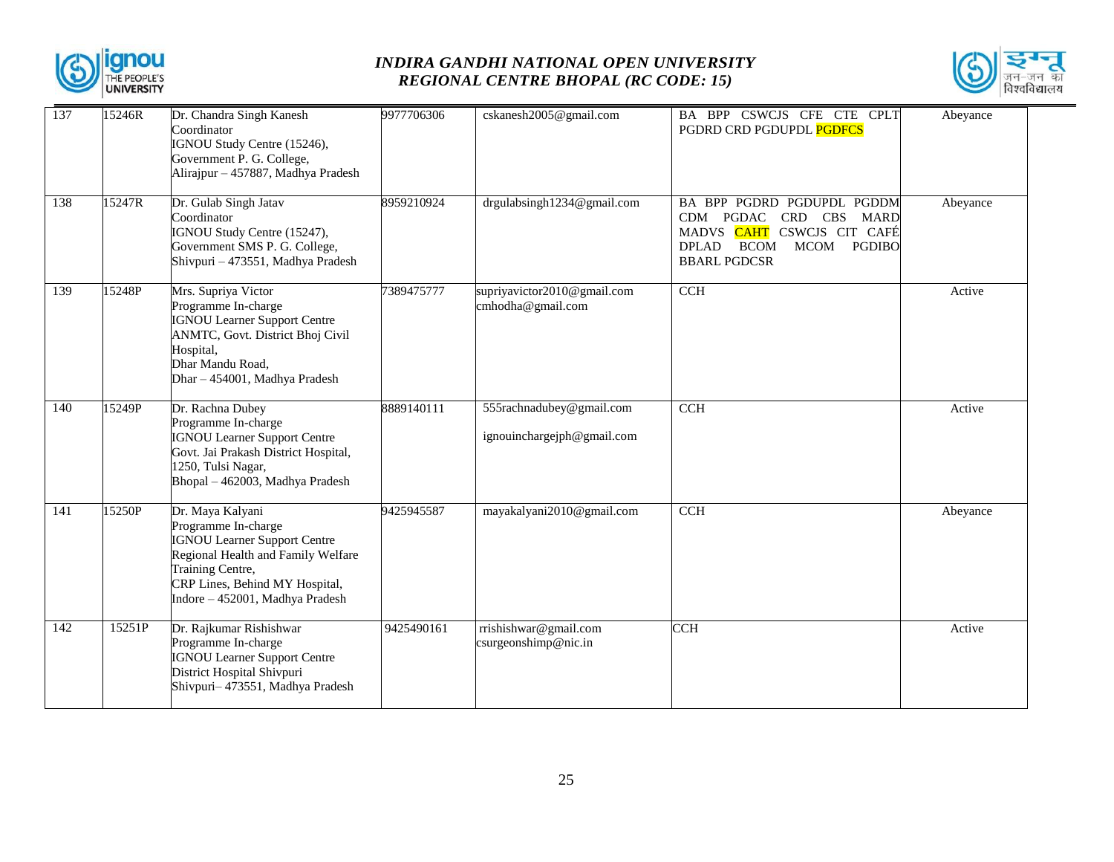



| 137 | 15246R | Dr. Chandra Singh Kanesh<br>Coordinator<br>IGNOU Study Centre (15246),<br>Government P. G. College,<br>Alirajpur - 457887, Madhya Pradesh                                                                     | 9977706306 | cskanesh2005@gmail.com                                 | BA BPP CSWCJS CFE CTE CPLT<br>PGDRD CRD PGDUPDL PGDFCS                                                                                              | Abeyance |
|-----|--------|---------------------------------------------------------------------------------------------------------------------------------------------------------------------------------------------------------------|------------|--------------------------------------------------------|-----------------------------------------------------------------------------------------------------------------------------------------------------|----------|
| 138 | 15247R | Dr. Gulab Singh Jatav<br>Coordinator<br>IGNOU Study Centre (15247),<br>Government SMS P. G. College,<br>Shivpuri - 473551, Madhya Pradesh                                                                     | 8959210924 | drgulabsingh1234@gmail.com                             | BA BPP PGDRD PGDUPDL PGDDM<br>CRD CBS MARD<br>CDM PGDAC<br>MADVS CAHT CSWCJS CIT CAFÉ<br>MCOM PGDIBO<br><b>DPLAD</b><br>BCOM<br><b>BBARL PGDCSR</b> | Abeyance |
| 139 | 15248P | Mrs. Supriya Victor<br>Programme In-charge<br><b>IGNOU Learner Support Centre</b><br>ANMTC, Govt. District Bhoj Civil<br>Hospital,<br>Dhar Mandu Road,<br>Dhar - 454001, Madhya Pradesh                       | 7389475777 | supriyavictor2010@gmail.com<br>cmhodha@gmail.com       | CCH                                                                                                                                                 | Active   |
| 140 | 15249P | Dr. Rachna Dubey<br>Programme In-charge<br><b>IGNOU Learner Support Centre</b><br>Govt. Jai Prakash District Hospital,<br>1250, Tulsi Nagar,<br>Bhopal - 462003, Madhya Pradesh                               | 8889140111 | 555rachnadubey@gmail.com<br>ignouinchargeiph@gmail.com | <b>CCH</b>                                                                                                                                          | Active   |
| 141 | 15250P | Dr. Maya Kalyani<br>Programme In-charge<br><b>IGNOU Learner Support Centre</b><br>Regional Health and Family Welfare<br>Training Centre,<br>CRP Lines, Behind MY Hospital,<br>Indore - 452001, Madhya Pradesh | 9425945587 | mayakalyani2010@gmail.com                              | $\overline{CCH}$                                                                                                                                    | Abeyance |
| 142 | 15251P | Dr. Rajkumar Rishishwar<br>Programme In-charge<br><b>IGNOU Learner Support Centre</b><br>District Hospital Shivpuri<br>Shivpuri-473551, Madhya Pradesh                                                        | 9425490161 | rrishishwar@gmail.com<br>csurgeonshimp@nic.in          | <b>CCH</b>                                                                                                                                          | Active   |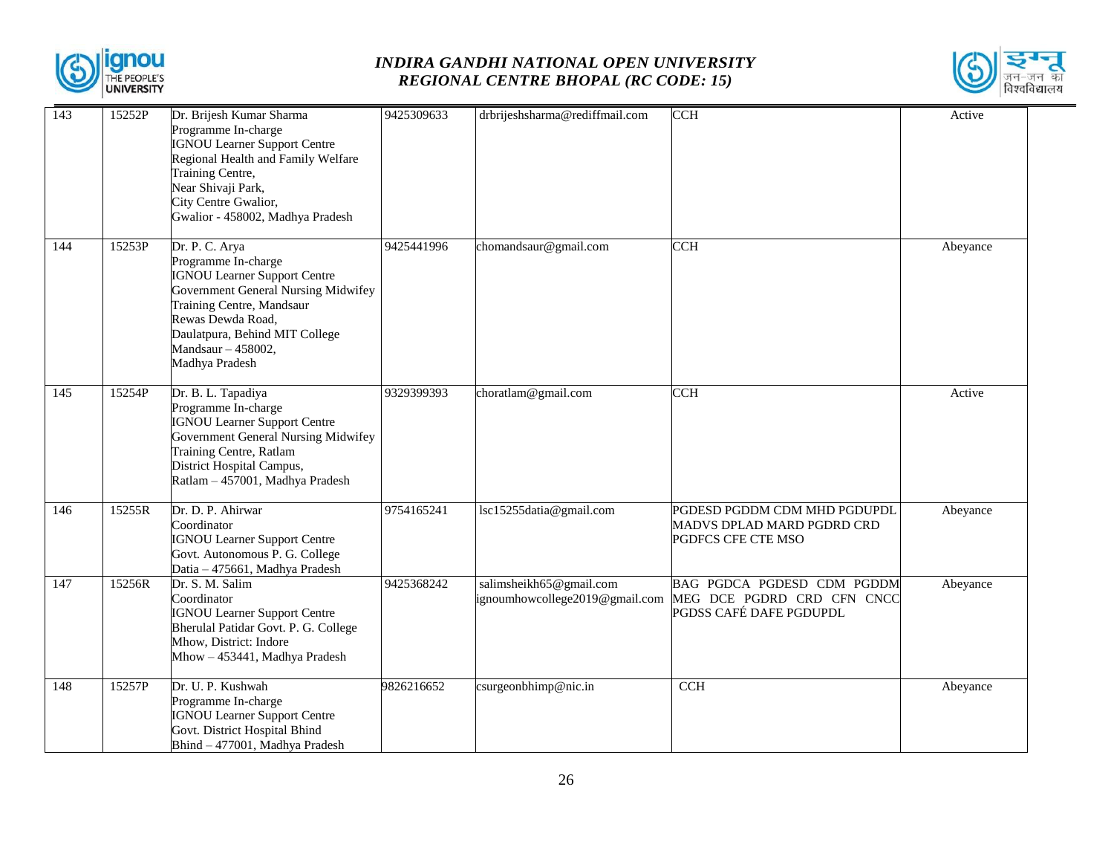



| $\overline{143}$ | 15252P | Dr. Brijesh Kumar Sharma<br>Programme In-charge                                                                                                                                                                                                 | 9425309633 | drbrijeshsharma@rediffmail.com                            | <b>CCH</b>                                                                          | Active   |
|------------------|--------|-------------------------------------------------------------------------------------------------------------------------------------------------------------------------------------------------------------------------------------------------|------------|-----------------------------------------------------------|-------------------------------------------------------------------------------------|----------|
|                  |        | <b>IGNOU Learner Support Centre</b><br>Regional Health and Family Welfare<br>Training Centre,<br>Near Shivaji Park,<br>City Centre Gwalior,                                                                                                     |            |                                                           |                                                                                     |          |
|                  |        | Gwalior - 458002, Madhya Pradesh                                                                                                                                                                                                                |            |                                                           |                                                                                     |          |
| 144              | 15253P | Dr. P. C. Arya<br>Programme In-charge<br><b>IGNOU Learner Support Centre</b><br>Government General Nursing Midwifey<br>Training Centre, Mandsaur<br>Rewas Dewda Road,<br>Daulatpura, Behind MIT College<br>Mandsaur - 458002,<br>Madhya Pradesh | 9425441996 | chomandsaur@gmail.com                                     | <b>CCH</b>                                                                          | Abeyance |
| $\overline{145}$ | 15254P | Dr. B. L. Tapadiya<br>Programme In-charge<br><b>IGNOU Learner Support Centre</b><br>Government General Nursing Midwifey<br>Training Centre, Ratlam<br>District Hospital Campus,<br>Ratlam - 457001, Madhya Pradesh                              | 9329399393 | choratlam@gmail.com                                       | <b>CCH</b>                                                                          | Active   |
| 146              | 15255R | Dr. D. P. Ahirwar<br>Coordinator<br><b>IGNOU Learner Support Centre</b><br>Govt. Autonomous P. G. College<br>Datia - 475661, Madhya Pradesh                                                                                                     | 9754165241 | lsc15255datia@gmail.com                                   | PGDESD PGDDM CDM MHD PGDUPDL<br>MADVS DPLAD MARD PGDRD CRD<br>PGDFCS CFE CTE MSO    | Abeyance |
| $\overline{147}$ | 15256R | Dr. S. M. Salim<br>Coordinator<br><b>IGNOU Learner Support Centre</b><br>Bherulal Patidar Govt. P. G. College<br>Mhow, District: Indore<br>Mhow - 453441, Madhya Pradesh                                                                        | 9425368242 | salimsheikh65@gmail.com<br>ignoumhowcollege2019@gmail.com | BAG PGDCA PGDESD CDM PGDDM<br>MEG DCE PGDRD CRD CFN CNCC<br>PGDSS CAFÉ DAFE PGDUPDL | Abeyance |
| 148              | 15257P | Dr. U. P. Kushwah<br>Programme In-charge<br><b>IGNOU Learner Support Centre</b><br>Govt. District Hospital Bhind<br>Bhind - 477001, Madhya Pradesh                                                                                              | 9826216652 | $\csc{supconbhimp@nic.in}$                                | CCH                                                                                 | Abeyance |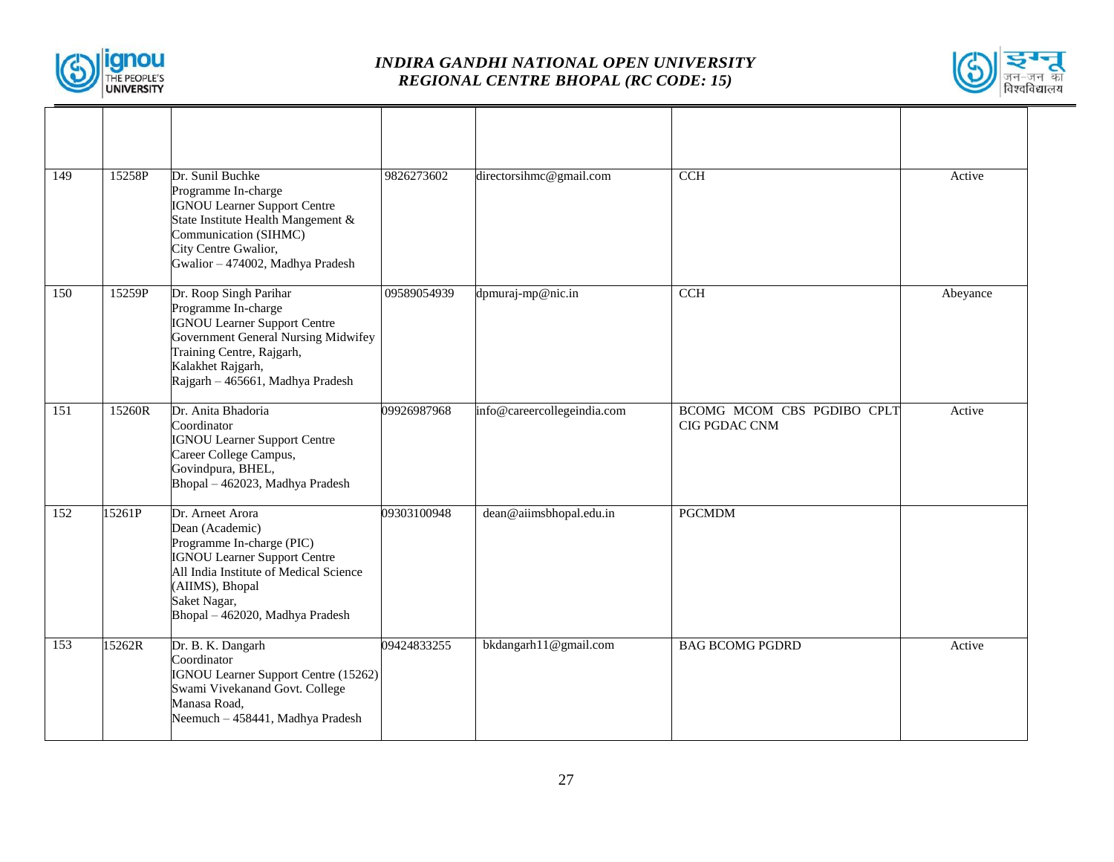



| 149 | 15258P | Dr. Sunil Buchke<br>Programme In-charge<br><b>IGNOU Learner Support Centre</b><br>State Institute Health Mangement &<br>Communication (SIHMC)<br>City Centre Gwalior,<br>Gwalior - 474002, Madhya Pradesh               | 9826273602  | directorsihmc@gmail.com     | <b>CCH</b>                                  | Active   |
|-----|--------|-------------------------------------------------------------------------------------------------------------------------------------------------------------------------------------------------------------------------|-------------|-----------------------------|---------------------------------------------|----------|
| 150 | 15259P | Dr. Roop Singh Parihar<br>Programme In-charge<br><b>IGNOU Learner Support Centre</b><br>Government General Nursing Midwifey<br>Training Centre, Rajgarh,<br>Kalakhet Rajgarh,<br>Rajgarh - 465661, Madhya Pradesh       | 09589054939 | dpmuraj-mp@nic.in           | CCH                                         | Abeyance |
| 151 | 15260R | Dr. Anita Bhadoria<br>Coordinator<br><b>IGNOU Learner Support Centre</b><br>Career College Campus,<br>Govindpura, BHEL,<br>Bhopal - 462023, Madhya Pradesh                                                              | 09926987968 | info@careercollegeindia.com | BCOMG MCOM CBS PGDIBO CPLT<br>CIG PGDAC CNM | Active   |
| 152 | 15261P | Dr. Arneet Arora<br>Dean (Academic)<br>Programme In-charge (PIC)<br><b>IGNOU Learner Support Centre</b><br>All India Institute of Medical Science<br>(AIIMS), Bhopal<br>Saket Nagar,<br>Bhopal - 462020, Madhya Pradesh | 09303100948 | dean@aiimsbhopal.edu.in     | <b>PGCMDM</b>                               |          |
| 153 | 15262R | Dr. B. K. Dangarh<br>Coordinator<br>IGNOU Learner Support Centre (15262)<br>Swami Vivekanand Govt. College<br>Manasa Road,<br>Neemuch - 458441, Madhya Pradesh                                                          | 09424833255 | bkdangarh11@gmail.com       | <b>BAG BCOMG PGDRD</b>                      | Active   |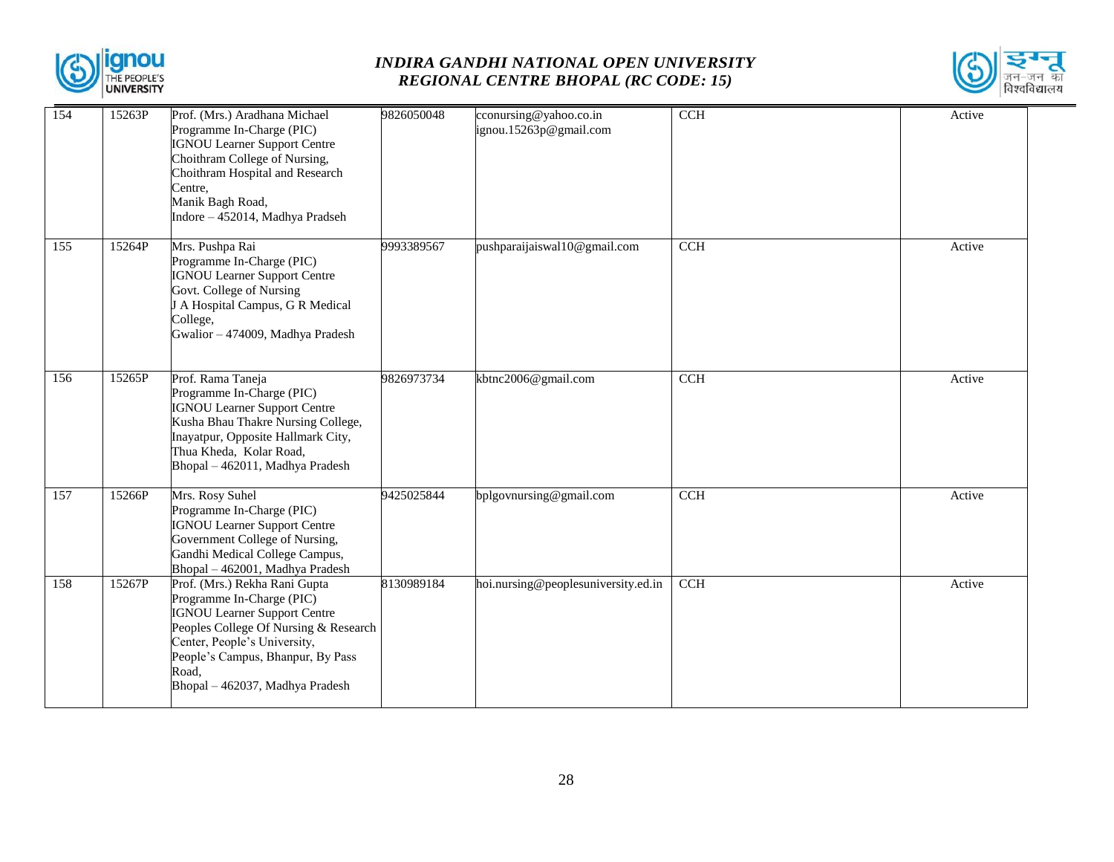



| 154              | 15263P | Prof. (Mrs.) Aradhana Michael<br>Programme In-Charge (PIC)<br><b>IGNOU Learner Support Centre</b><br>Choithram College of Nursing,<br>Choithram Hospital and Research<br>Centre,<br>Manik Bagh Road,<br>Indore - 452014, Madhya Pradseh                     | 9826050048 | cconursing@yahoo.co.in<br>ignou.15263p@gmail.com | CCH        | Active |
|------------------|--------|-------------------------------------------------------------------------------------------------------------------------------------------------------------------------------------------------------------------------------------------------------------|------------|--------------------------------------------------|------------|--------|
| $\overline{155}$ | 15264P | Mrs. Pushpa Rai<br>Programme In-Charge (PIC)<br><b>IGNOU Learner Support Centre</b><br>Govt. College of Nursing<br>J A Hospital Campus, G R Medical<br>College,<br>Gwalior - 474009, Madhya Pradesh                                                         | 9993389567 | pushparaijaiswal10@gmail.com                     | <b>CCH</b> | Active |
| 156              | 15265P | Prof. Rama Taneja<br>Programme In-Charge (PIC)<br><b>IGNOU Learner Support Centre</b><br>Kusha Bhau Thakre Nursing College,<br>Inayatpur, Opposite Hallmark City,<br>Thua Kheda, Kolar Road,<br>Bhopal - 462011, Madhya Pradesh                             | 9826973734 | kbtnc2006@gmail.com                              | CCH        | Active |
| 157              | 15266P | Mrs. Rosy Suhel<br>Programme In-Charge (PIC)<br><b>IGNOU Learner Support Centre</b><br>Government College of Nursing,<br>Gandhi Medical College Campus,<br>Bhopal - 462001, Madhya Pradesh                                                                  | 9425025844 | bplgovnursing@gmail.com                          | CCH        | Active |
| 158              | 15267P | Prof. (Mrs.) Rekha Rani Gupta<br>Programme In-Charge (PIC)<br><b>IGNOU Learner Support Centre</b><br>Peoples College Of Nursing & Research<br>Center, People's University,<br>People's Campus, Bhanpur, By Pass<br>Road.<br>Bhopal - 462037, Madhya Pradesh | 8130989184 | hoi.nursing@peoplesuniversity.ed.in              | CCH        | Active |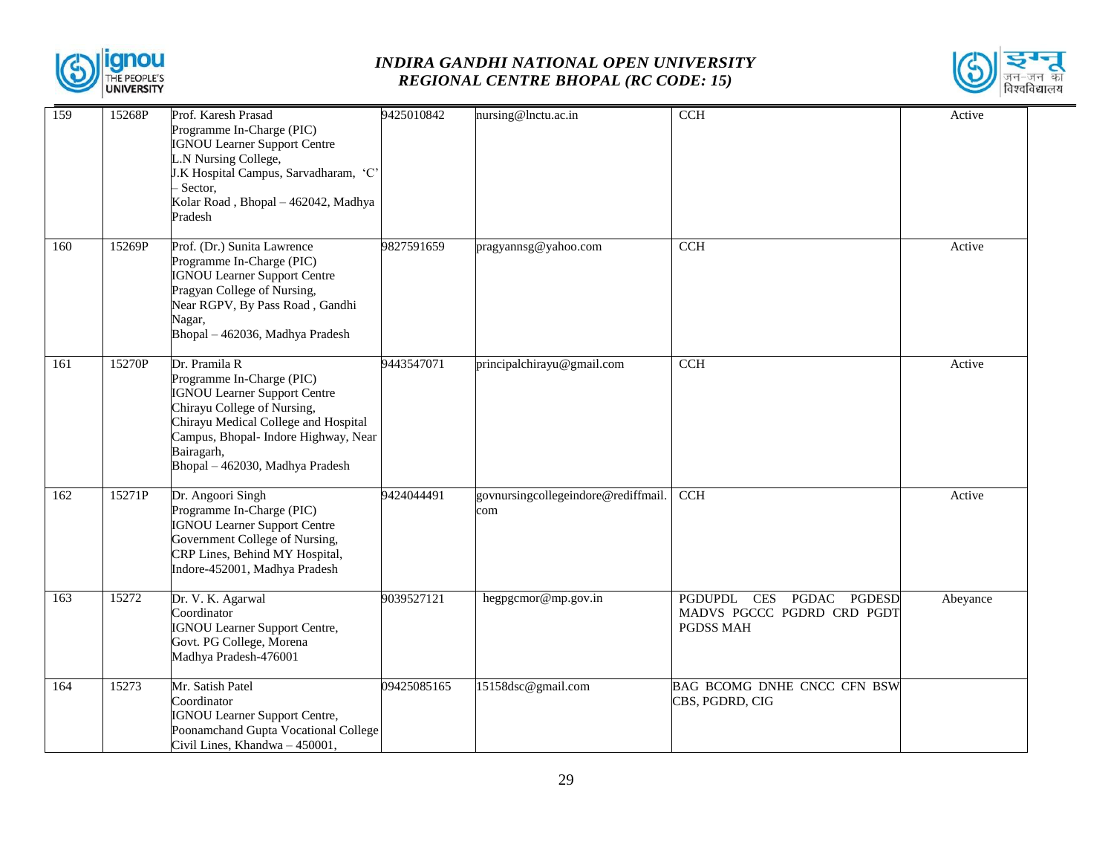



| 159 | 15268P | Prof. Karesh Prasad<br>Programme In-Charge (PIC)<br><b>IGNOU Learner Support Centre</b><br>L.N Nursing College,<br>J.K Hospital Campus, Sarvadharam, 'C'<br>Sector,<br>Kolar Road, Bhopal - 462042, Madhya<br>Pradesh                             | 9425010842  | nursing@lnctu.ac.in                        | <b>CCH</b>                                                                 | Active   |
|-----|--------|---------------------------------------------------------------------------------------------------------------------------------------------------------------------------------------------------------------------------------------------------|-------------|--------------------------------------------|----------------------------------------------------------------------------|----------|
| 160 | 15269P | Prof. (Dr.) Sunita Lawrence<br>Programme In-Charge (PIC)<br><b>IGNOU Learner Support Centre</b><br>Pragyan College of Nursing,<br>Near RGPV, By Pass Road, Gandhi<br>Nagar,<br>Bhopal - 462036, Madhya Pradesh                                    | 9827591659  | pragyannsg@yahoo.com                       | CCH                                                                        | Active   |
| 161 | 15270P | Dr. Pramila R<br>Programme In-Charge (PIC)<br><b>IGNOU Learner Support Centre</b><br>Chirayu College of Nursing,<br>Chirayu Medical College and Hospital<br>Campus, Bhopal- Indore Highway, Near<br>Bairagarh,<br>Bhopal - 462030, Madhya Pradesh | 9443547071  | principalchirayu@gmail.com                 | <b>CCH</b>                                                                 | Active   |
| 162 | 15271P | Dr. Angoori Singh<br>Programme In-Charge (PIC)<br><b>IGNOU Learner Support Centre</b><br>Government College of Nursing,<br>CRP Lines, Behind MY Hospital,<br>Indore-452001, Madhya Pradesh                                                        | 9424044491  | govnursingcollegeindore@rediffmail.<br>com | <b>CCH</b>                                                                 | Active   |
| 163 | 15272  | Dr. V. K. Agarwal<br>Coordinator<br><b>IGNOU Learner Support Centre,</b><br>Govt. PG College, Morena<br>Madhya Pradesh-476001                                                                                                                     | 9039527121  | hegpgcmor@mp.gov.in                        | PGDUPDL CES PGDAC PGDESD<br>MADVS PGCCC PGDRD CRD PGDT<br><b>PGDSS MAH</b> | Abeyance |
| 164 | 15273  | Mr. Satish Patel<br>Coordinator<br><b>IGNOU Learner Support Centre,</b><br>Poonamchand Gupta Vocational College<br>Civil Lines, Khandwa - 450001,                                                                                                 | 09425085165 | 15158dsc@gmail.com                         | BAG BCOMG DNHE CNCC CFN BSW<br>CBS, PGDRD, CIG                             |          |